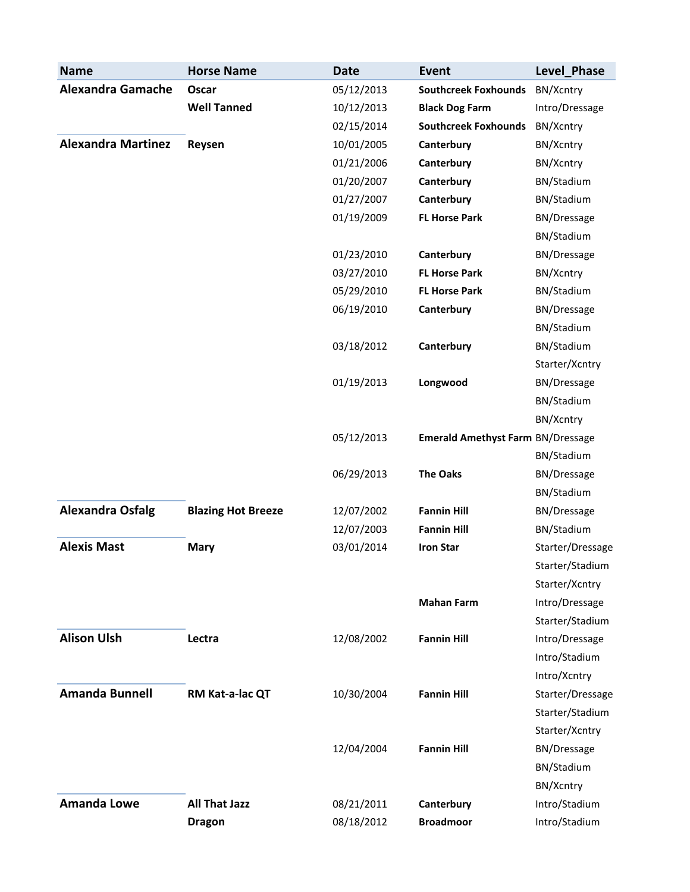| <b>Name</b>               | <b>Horse Name</b>         | <b>Date</b> | <b>Event</b>                             | Level Phase        |
|---------------------------|---------------------------|-------------|------------------------------------------|--------------------|
| <b>Alexandra Gamache</b>  | Oscar                     | 05/12/2013  | <b>Southcreek Foxhounds</b>              | BN/Xcntry          |
|                           | <b>Well Tanned</b>        | 10/12/2013  | <b>Black Dog Farm</b>                    | Intro/Dressage     |
|                           |                           | 02/15/2014  | <b>Southcreek Foxhounds</b>              | BN/Xcntry          |
| <b>Alexandra Martinez</b> | Reysen                    | 10/01/2005  | Canterbury                               | BN/Xcntry          |
|                           |                           | 01/21/2006  | Canterbury                               | BN/Xcntry          |
|                           |                           | 01/20/2007  | Canterbury                               | BN/Stadium         |
|                           |                           | 01/27/2007  | Canterbury                               | BN/Stadium         |
|                           |                           | 01/19/2009  | <b>FL Horse Park</b>                     | <b>BN/Dressage</b> |
|                           |                           |             |                                          | BN/Stadium         |
|                           |                           | 01/23/2010  | Canterbury                               | <b>BN/Dressage</b> |
|                           |                           | 03/27/2010  | <b>FL Horse Park</b>                     | BN/Xcntry          |
|                           |                           | 05/29/2010  | <b>FL Horse Park</b>                     | BN/Stadium         |
|                           |                           | 06/19/2010  | Canterbury                               | <b>BN/Dressage</b> |
|                           |                           |             |                                          | BN/Stadium         |
|                           |                           | 03/18/2012  | Canterbury                               | BN/Stadium         |
|                           |                           |             |                                          | Starter/Xcntry     |
|                           |                           | 01/19/2013  | Longwood                                 | <b>BN/Dressage</b> |
|                           |                           |             |                                          | BN/Stadium         |
|                           |                           |             |                                          | BN/Xcntry          |
|                           |                           | 05/12/2013  | <b>Emerald Amethyst Farm BN/Dressage</b> |                    |
|                           |                           |             |                                          | BN/Stadium         |
|                           |                           | 06/29/2013  | <b>The Oaks</b>                          | <b>BN/Dressage</b> |
|                           |                           |             |                                          | BN/Stadium         |
| <b>Alexandra Osfalg</b>   | <b>Blazing Hot Breeze</b> | 12/07/2002  | <b>Fannin Hill</b>                       | <b>BN/Dressage</b> |
|                           |                           | 12/07/2003  | <b>Fannin Hill</b>                       | BN/Stadium         |
| <b>Alexis Mast</b>        | <b>Mary</b>               | 03/01/2014  | <b>Iron Star</b>                         | Starter/Dressage   |
|                           |                           |             |                                          | Starter/Stadium    |
|                           |                           |             |                                          | Starter/Xcntry     |
|                           |                           |             | <b>Mahan Farm</b>                        | Intro/Dressage     |
|                           |                           |             |                                          | Starter/Stadium    |
| <b>Alison Ulsh</b>        | Lectra                    | 12/08/2002  | <b>Fannin Hill</b>                       | Intro/Dressage     |
|                           |                           |             |                                          | Intro/Stadium      |
|                           |                           |             |                                          | Intro/Xcntry       |
| <b>Amanda Bunnell</b>     | RM Kat-a-lac QT           | 10/30/2004  | <b>Fannin Hill</b>                       | Starter/Dressage   |
|                           |                           |             |                                          | Starter/Stadium    |
|                           |                           |             |                                          | Starter/Xcntry     |
|                           |                           | 12/04/2004  | <b>Fannin Hill</b>                       | <b>BN/Dressage</b> |
|                           |                           |             |                                          | BN/Stadium         |
|                           |                           |             |                                          | BN/Xcntry          |
| <b>Amanda Lowe</b>        | <b>All That Jazz</b>      | 08/21/2011  | Canterbury                               | Intro/Stadium      |
|                           | <b>Dragon</b>             | 08/18/2012  | <b>Broadmoor</b>                         | Intro/Stadium      |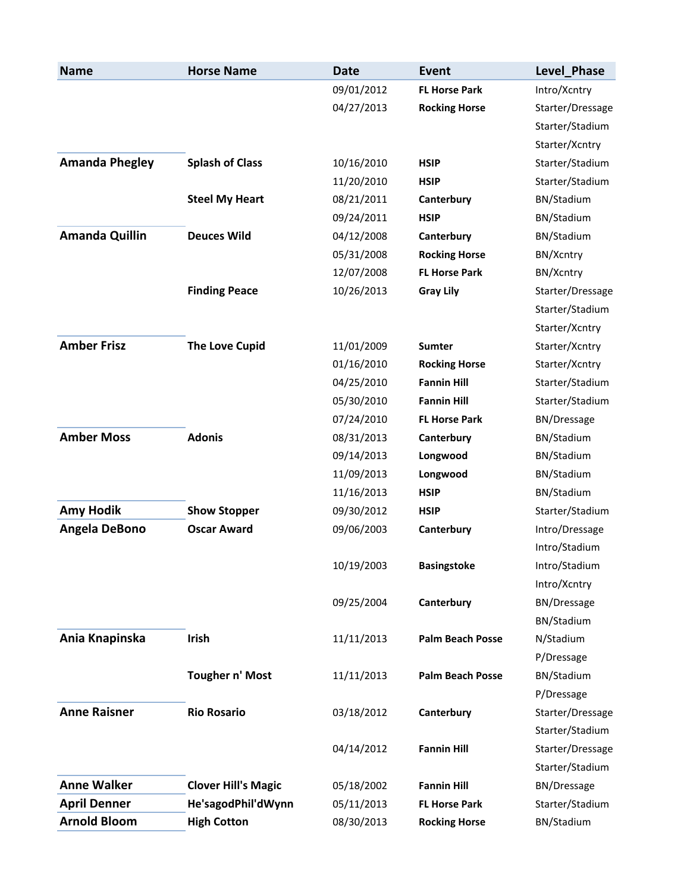| <b>Name</b>           | <b>Horse Name</b>          | <b>Date</b> | <b>Event</b>            | Level_Phase        |
|-----------------------|----------------------------|-------------|-------------------------|--------------------|
|                       |                            | 09/01/2012  | <b>FL Horse Park</b>    | Intro/Xcntry       |
|                       |                            | 04/27/2013  | <b>Rocking Horse</b>    | Starter/Dressage   |
|                       |                            |             |                         | Starter/Stadium    |
|                       |                            |             |                         | Starter/Xcntry     |
| <b>Amanda Phegley</b> | <b>Splash of Class</b>     | 10/16/2010  | <b>HSIP</b>             | Starter/Stadium    |
|                       |                            | 11/20/2010  | <b>HSIP</b>             | Starter/Stadium    |
|                       | <b>Steel My Heart</b>      | 08/21/2011  | Canterbury              | BN/Stadium         |
|                       |                            | 09/24/2011  | <b>HSIP</b>             | BN/Stadium         |
| <b>Amanda Quillin</b> | <b>Deuces Wild</b>         | 04/12/2008  | Canterbury              | BN/Stadium         |
|                       |                            | 05/31/2008  | <b>Rocking Horse</b>    | BN/Xcntry          |
|                       |                            | 12/07/2008  | <b>FL Horse Park</b>    | BN/Xcntry          |
|                       | <b>Finding Peace</b>       | 10/26/2013  | <b>Gray Lily</b>        | Starter/Dressage   |
|                       |                            |             |                         | Starter/Stadium    |
|                       |                            |             |                         | Starter/Xcntry     |
| <b>Amber Frisz</b>    | <b>The Love Cupid</b>      | 11/01/2009  | <b>Sumter</b>           | Starter/Xcntry     |
|                       |                            | 01/16/2010  | <b>Rocking Horse</b>    | Starter/Xcntry     |
|                       |                            | 04/25/2010  | <b>Fannin Hill</b>      | Starter/Stadium    |
|                       |                            | 05/30/2010  | <b>Fannin Hill</b>      | Starter/Stadium    |
|                       |                            | 07/24/2010  | <b>FL Horse Park</b>    | <b>BN/Dressage</b> |
| <b>Amber Moss</b>     | <b>Adonis</b>              | 08/31/2013  | Canterbury              | BN/Stadium         |
|                       |                            | 09/14/2013  | Longwood                | BN/Stadium         |
|                       |                            | 11/09/2013  | Longwood                | BN/Stadium         |
|                       |                            | 11/16/2013  | <b>HSIP</b>             | BN/Stadium         |
| <b>Amy Hodik</b>      | <b>Show Stopper</b>        | 09/30/2012  | <b>HSIP</b>             | Starter/Stadium    |
| Angela DeBono         | <b>Oscar Award</b>         | 09/06/2003  | Canterbury              | Intro/Dressage     |
|                       |                            |             |                         | Intro/Stadium      |
|                       |                            | 10/19/2003  | <b>Basingstoke</b>      | Intro/Stadium      |
|                       |                            |             |                         | Intro/Xcntry       |
|                       |                            | 09/25/2004  | Canterbury              | <b>BN/Dressage</b> |
|                       |                            |             |                         | BN/Stadium         |
| Ania Knapinska        | <b>Irish</b>               | 11/11/2013  | <b>Palm Beach Posse</b> | N/Stadium          |
|                       |                            |             |                         | P/Dressage         |
|                       | Tougher n' Most            | 11/11/2013  | <b>Palm Beach Posse</b> | BN/Stadium         |
|                       |                            |             |                         | P/Dressage         |
| <b>Anne Raisner</b>   | <b>Rio Rosario</b>         | 03/18/2012  | Canterbury              | Starter/Dressage   |
|                       |                            |             |                         | Starter/Stadium    |
|                       |                            | 04/14/2012  | <b>Fannin Hill</b>      | Starter/Dressage   |
|                       |                            |             |                         | Starter/Stadium    |
| <b>Anne Walker</b>    | <b>Clover Hill's Magic</b> | 05/18/2002  | <b>Fannin Hill</b>      | <b>BN/Dressage</b> |
| <b>April Denner</b>   | He'sagodPhil'dWynn         | 05/11/2013  | <b>FL Horse Park</b>    | Starter/Stadium    |
| <b>Arnold Bloom</b>   | <b>High Cotton</b>         | 08/30/2013  | <b>Rocking Horse</b>    | BN/Stadium         |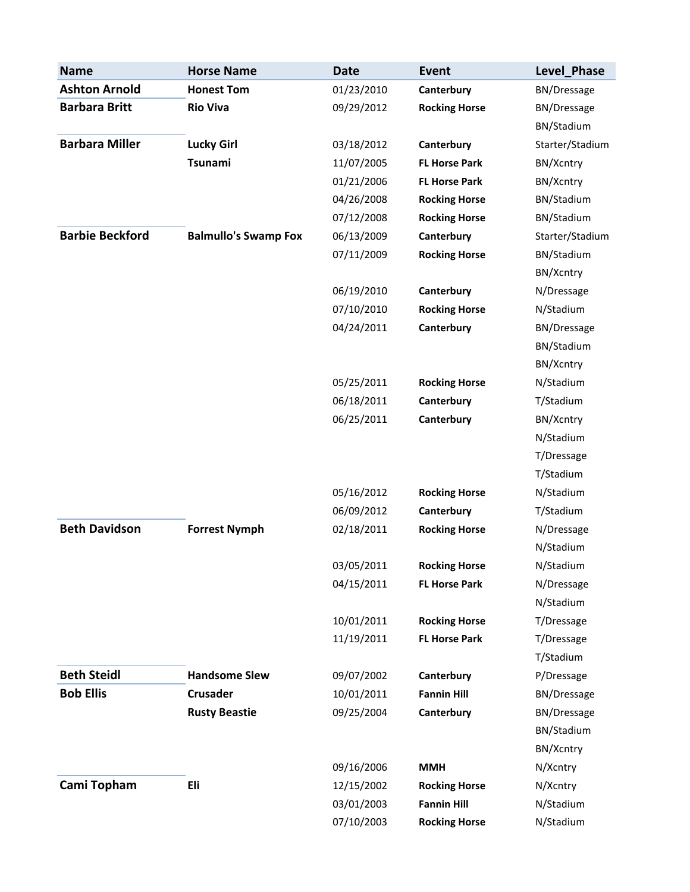| <b>Name</b>            | <b>Horse Name</b>           | <b>Date</b> | <b>Event</b>         | Level Phase        |
|------------------------|-----------------------------|-------------|----------------------|--------------------|
| <b>Ashton Arnold</b>   | <b>Honest Tom</b>           | 01/23/2010  | Canterbury           | BN/Dressage        |
| <b>Barbara Britt</b>   | <b>Rio Viva</b>             | 09/29/2012  | <b>Rocking Horse</b> | <b>BN/Dressage</b> |
|                        |                             |             |                      | BN/Stadium         |
| <b>Barbara Miller</b>  | <b>Lucky Girl</b>           | 03/18/2012  | Canterbury           | Starter/Stadium    |
|                        | <b>Tsunami</b>              | 11/07/2005  | <b>FL Horse Park</b> | BN/Xcntry          |
|                        |                             | 01/21/2006  | <b>FL Horse Park</b> | BN/Xcntry          |
|                        |                             | 04/26/2008  | <b>Rocking Horse</b> | BN/Stadium         |
|                        |                             | 07/12/2008  | <b>Rocking Horse</b> | BN/Stadium         |
| <b>Barbie Beckford</b> | <b>Balmullo's Swamp Fox</b> | 06/13/2009  | Canterbury           | Starter/Stadium    |
|                        |                             | 07/11/2009  | <b>Rocking Horse</b> | BN/Stadium         |
|                        |                             |             |                      | BN/Xcntry          |
|                        |                             | 06/19/2010  | Canterbury           | N/Dressage         |
|                        |                             | 07/10/2010  | <b>Rocking Horse</b> | N/Stadium          |
|                        |                             | 04/24/2011  | Canterbury           | <b>BN/Dressage</b> |
|                        |                             |             |                      | BN/Stadium         |
|                        |                             |             |                      | BN/Xcntry          |
|                        |                             | 05/25/2011  | <b>Rocking Horse</b> | N/Stadium          |
|                        |                             | 06/18/2011  | Canterbury           | T/Stadium          |
|                        |                             | 06/25/2011  | Canterbury           | BN/Xcntry          |
|                        |                             |             |                      | N/Stadium          |
|                        |                             |             |                      | T/Dressage         |
|                        |                             |             |                      | T/Stadium          |
|                        |                             | 05/16/2012  | <b>Rocking Horse</b> | N/Stadium          |
|                        |                             | 06/09/2012  | Canterbury           | T/Stadium          |
| <b>Beth Davidson</b>   | <b>Forrest Nymph</b>        | 02/18/2011  | <b>Rocking Horse</b> | N/Dressage         |
|                        |                             |             |                      | N/Stadium          |
|                        |                             | 03/05/2011  | <b>Rocking Horse</b> | N/Stadium          |
|                        |                             | 04/15/2011  | <b>FL Horse Park</b> | N/Dressage         |
|                        |                             |             |                      | N/Stadium          |
|                        |                             | 10/01/2011  | <b>Rocking Horse</b> | T/Dressage         |
|                        |                             | 11/19/2011  | <b>FL Horse Park</b> | T/Dressage         |
|                        |                             |             |                      | T/Stadium          |
| <b>Beth Steidl</b>     | <b>Handsome Slew</b>        | 09/07/2002  | Canterbury           | P/Dressage         |
| <b>Bob Ellis</b>       | <b>Crusader</b>             | 10/01/2011  | <b>Fannin Hill</b>   | <b>BN/Dressage</b> |
|                        | <b>Rusty Beastie</b>        | 09/25/2004  | Canterbury           | <b>BN/Dressage</b> |
|                        |                             |             |                      | BN/Stadium         |
|                        |                             |             |                      | BN/Xcntry          |
|                        |                             | 09/16/2006  | <b>MMH</b>           | N/Xcntry           |
| Cami Topham            | Eli                         | 12/15/2002  | <b>Rocking Horse</b> | N/Xcntry           |
|                        |                             | 03/01/2003  | <b>Fannin Hill</b>   | N/Stadium          |
|                        |                             | 07/10/2003  | <b>Rocking Horse</b> | N/Stadium          |
|                        |                             |             |                      |                    |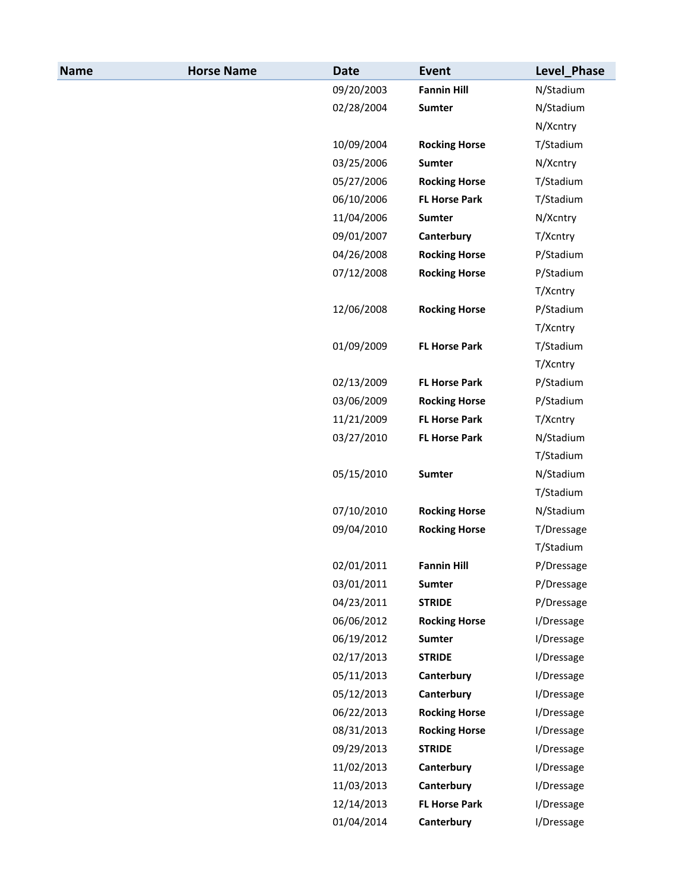| <b>Name</b> | <b>Horse Name</b> | <b>Date</b> | <b>Event</b>         | Level_Phase |
|-------------|-------------------|-------------|----------------------|-------------|
|             |                   | 09/20/2003  | <b>Fannin Hill</b>   | N/Stadium   |
|             |                   | 02/28/2004  | <b>Sumter</b>        | N/Stadium   |
|             |                   |             |                      | N/Xcntry    |
|             |                   | 10/09/2004  | <b>Rocking Horse</b> | T/Stadium   |
|             |                   | 03/25/2006  | Sumter               | N/Xcntry    |
|             |                   | 05/27/2006  | <b>Rocking Horse</b> | T/Stadium   |
|             |                   | 06/10/2006  | <b>FL Horse Park</b> | T/Stadium   |
|             |                   | 11/04/2006  | Sumter               | N/Xcntry    |
|             |                   | 09/01/2007  | Canterbury           | T/Xcntry    |
|             |                   | 04/26/2008  | <b>Rocking Horse</b> | P/Stadium   |
|             |                   | 07/12/2008  | <b>Rocking Horse</b> | P/Stadium   |
|             |                   |             |                      | T/Xcntry    |
|             |                   | 12/06/2008  | <b>Rocking Horse</b> | P/Stadium   |
|             |                   |             |                      | T/Xcntry    |
|             |                   | 01/09/2009  | <b>FL Horse Park</b> | T/Stadium   |
|             |                   |             |                      | T/Xcntry    |
|             |                   | 02/13/2009  | <b>FL Horse Park</b> | P/Stadium   |
|             |                   | 03/06/2009  | <b>Rocking Horse</b> | P/Stadium   |
|             |                   | 11/21/2009  | <b>FL Horse Park</b> | T/Xcntry    |
|             |                   | 03/27/2010  | <b>FL Horse Park</b> | N/Stadium   |
|             |                   |             |                      | T/Stadium   |
|             |                   | 05/15/2010  | Sumter               | N/Stadium   |
|             |                   |             |                      | T/Stadium   |
|             |                   | 07/10/2010  | <b>Rocking Horse</b> | N/Stadium   |
|             |                   | 09/04/2010  | <b>Rocking Horse</b> | T/Dressage  |
|             |                   |             |                      | T/Stadium   |
|             |                   | 02/01/2011  | <b>Fannin Hill</b>   | P/Dressage  |
|             |                   | 03/01/2011  | <b>Sumter</b>        | P/Dressage  |
|             |                   | 04/23/2011  | <b>STRIDE</b>        | P/Dressage  |
|             |                   | 06/06/2012  | <b>Rocking Horse</b> | I/Dressage  |
|             |                   | 06/19/2012  | Sumter               | I/Dressage  |
|             |                   | 02/17/2013  | <b>STRIDE</b>        | I/Dressage  |
|             |                   | 05/11/2013  | Canterbury           | I/Dressage  |
|             |                   | 05/12/2013  | Canterbury           | I/Dressage  |
|             |                   | 06/22/2013  | <b>Rocking Horse</b> | I/Dressage  |
|             |                   | 08/31/2013  | <b>Rocking Horse</b> | I/Dressage  |
|             |                   | 09/29/2013  | <b>STRIDE</b>        | I/Dressage  |
|             |                   | 11/02/2013  | Canterbury           | I/Dressage  |
|             |                   | 11/03/2013  | Canterbury           | I/Dressage  |
|             |                   | 12/14/2013  | <b>FL Horse Park</b> | I/Dressage  |
|             |                   | 01/04/2014  | Canterbury           | I/Dressage  |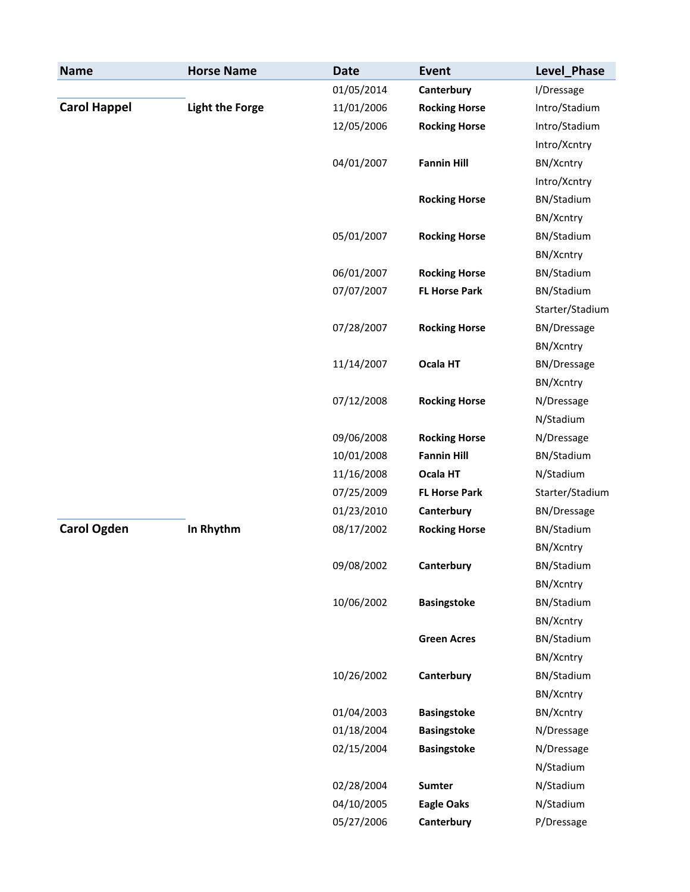| <b>Name</b>         | <b>Horse Name</b>      | <b>Date</b> | <b>Event</b>         | Level_Phase        |
|---------------------|------------------------|-------------|----------------------|--------------------|
|                     |                        | 01/05/2014  | Canterbury           | I/Dressage         |
| <b>Carol Happel</b> | <b>Light the Forge</b> | 11/01/2006  | <b>Rocking Horse</b> | Intro/Stadium      |
|                     |                        | 12/05/2006  | <b>Rocking Horse</b> | Intro/Stadium      |
|                     |                        |             |                      | Intro/Xcntry       |
|                     |                        | 04/01/2007  | <b>Fannin Hill</b>   | BN/Xcntry          |
|                     |                        |             |                      | Intro/Xcntry       |
|                     |                        |             | <b>Rocking Horse</b> | BN/Stadium         |
|                     |                        |             |                      | BN/Xcntry          |
|                     |                        | 05/01/2007  | <b>Rocking Horse</b> | BN/Stadium         |
|                     |                        |             |                      | BN/Xcntry          |
|                     |                        | 06/01/2007  | <b>Rocking Horse</b> | BN/Stadium         |
|                     |                        | 07/07/2007  | <b>FL Horse Park</b> | BN/Stadium         |
|                     |                        |             |                      | Starter/Stadium    |
|                     |                        | 07/28/2007  | <b>Rocking Horse</b> | <b>BN/Dressage</b> |
|                     |                        |             |                      | BN/Xcntry          |
|                     |                        | 11/14/2007  | Ocala HT             | <b>BN/Dressage</b> |
|                     |                        |             |                      | BN/Xcntry          |
|                     |                        | 07/12/2008  | <b>Rocking Horse</b> | N/Dressage         |
|                     |                        |             |                      | N/Stadium          |
|                     |                        | 09/06/2008  | <b>Rocking Horse</b> | N/Dressage         |
|                     |                        | 10/01/2008  | <b>Fannin Hill</b>   | BN/Stadium         |
|                     |                        | 11/16/2008  | Ocala HT             | N/Stadium          |
|                     |                        | 07/25/2009  | <b>FL Horse Park</b> | Starter/Stadium    |
|                     |                        | 01/23/2010  | Canterbury           | <b>BN/Dressage</b> |
| <b>Carol Ogden</b>  | In Rhythm              | 08/17/2002  | <b>Rocking Horse</b> | BN/Stadium         |
|                     |                        |             |                      | BN/Xcntry          |
|                     |                        | 09/08/2002  | Canterbury           | BN/Stadium         |
|                     |                        |             |                      | BN/Xcntry          |
|                     |                        | 10/06/2002  | <b>Basingstoke</b>   | BN/Stadium         |
|                     |                        |             |                      | BN/Xcntry          |
|                     |                        |             | <b>Green Acres</b>   | BN/Stadium         |
|                     |                        |             |                      | BN/Xcntry          |
|                     |                        | 10/26/2002  | Canterbury           | BN/Stadium         |
|                     |                        |             |                      | BN/Xcntry          |
|                     |                        | 01/04/2003  | <b>Basingstoke</b>   | BN/Xcntry          |
|                     |                        | 01/18/2004  | <b>Basingstoke</b>   | N/Dressage         |
|                     |                        | 02/15/2004  | <b>Basingstoke</b>   | N/Dressage         |
|                     |                        |             |                      |                    |
|                     |                        |             |                      | N/Stadium          |
|                     |                        | 02/28/2004  | <b>Sumter</b>        | N/Stadium          |
|                     |                        | 04/10/2005  | <b>Eagle Oaks</b>    | N/Stadium          |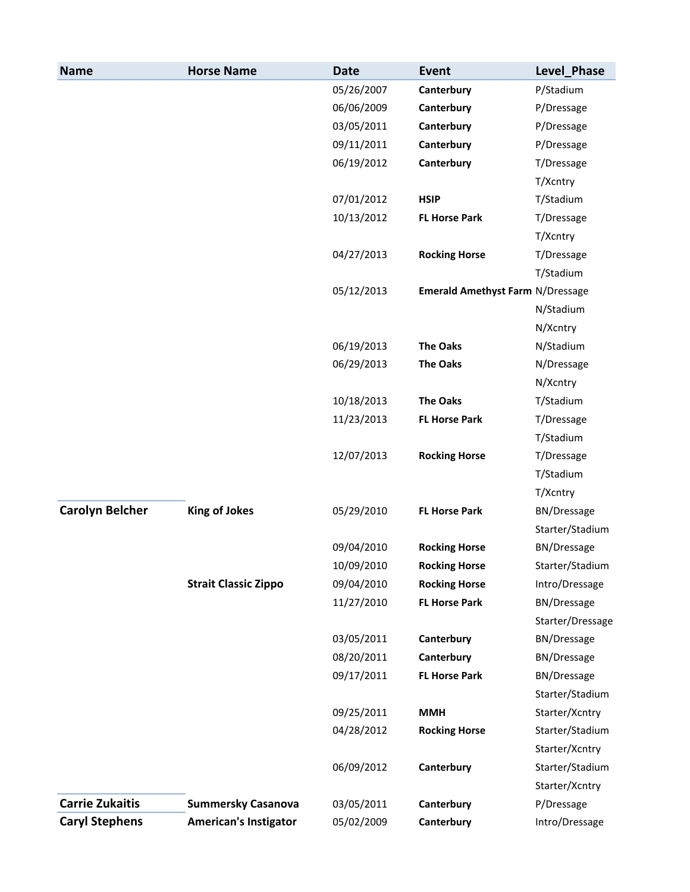| <b>Name</b>            | <b>Horse Name</b>            | <b>Date</b> | <b>Event</b>                     | Level Phase        |
|------------------------|------------------------------|-------------|----------------------------------|--------------------|
|                        |                              | 05/26/2007  | Canterbury                       | P/Stadium          |
|                        |                              | 06/06/2009  | Canterbury                       | P/Dressage         |
|                        |                              | 03/05/2011  | Canterbury                       | P/Dressage         |
|                        |                              | 09/11/2011  | Canterbury                       | P/Dressage         |
|                        |                              | 06/19/2012  | Canterbury                       | T/Dressage         |
|                        |                              |             |                                  | T/Xcntry           |
|                        |                              | 07/01/2012  | <b>HSIP</b>                      | T/Stadium          |
|                        |                              | 10/13/2012  | <b>FL Horse Park</b>             | T/Dressage         |
|                        |                              |             |                                  | T/Xcntry           |
|                        |                              | 04/27/2013  | <b>Rocking Horse</b>             | T/Dressage         |
|                        |                              |             |                                  | T/Stadium          |
|                        |                              | 05/12/2013  | Emerald Amethyst Farm N/Dressage |                    |
|                        |                              |             |                                  | N/Stadium          |
|                        |                              |             |                                  | N/Xcntry           |
|                        |                              | 06/19/2013  | <b>The Oaks</b>                  | N/Stadium          |
|                        |                              | 06/29/2013  | <b>The Oaks</b>                  | N/Dressage         |
|                        |                              |             |                                  | N/Xcntry           |
|                        |                              | 10/18/2013  | <b>The Oaks</b>                  | T/Stadium          |
|                        |                              | 11/23/2013  | <b>FL Horse Park</b>             | T/Dressage         |
|                        |                              |             |                                  | T/Stadium          |
|                        |                              | 12/07/2013  | <b>Rocking Horse</b>             | T/Dressage         |
|                        |                              |             |                                  | T/Stadium          |
|                        |                              |             |                                  | T/Xcntry           |
| <b>Carolyn Belcher</b> | <b>King of Jokes</b>         | 05/29/2010  | <b>FL Horse Park</b>             | <b>BN/Dressage</b> |
|                        |                              |             |                                  | Starter/Stadium    |
|                        |                              | 09/04/2010  | <b>Rocking Horse</b>             | <b>BN/Dressage</b> |
|                        |                              | 10/09/2010  | <b>Rocking Horse</b>             | Starter/Stadium    |
|                        | <b>Strait Classic Zippo</b>  | 09/04/2010  | <b>Rocking Horse</b>             | Intro/Dressage     |
|                        |                              | 11/27/2010  | <b>FL Horse Park</b>             | <b>BN/Dressage</b> |
|                        |                              |             |                                  | Starter/Dressage   |
|                        |                              | 03/05/2011  | Canterbury                       | <b>BN/Dressage</b> |
|                        |                              | 08/20/2011  | Canterbury                       | <b>BN/Dressage</b> |
|                        |                              | 09/17/2011  | <b>FL Horse Park</b>             | BN/Dressage        |
|                        |                              |             |                                  | Starter/Stadium    |
|                        |                              | 09/25/2011  | <b>MMH</b>                       | Starter/Xcntry     |
|                        |                              | 04/28/2012  | <b>Rocking Horse</b>             | Starter/Stadium    |
|                        |                              |             |                                  | Starter/Xcntry     |
|                        |                              | 06/09/2012  | Canterbury                       | Starter/Stadium    |
|                        |                              |             |                                  | Starter/Xcntry     |
| <b>Carrie Zukaitis</b> | <b>Summersky Casanova</b>    | 03/05/2011  | Canterbury                       | P/Dressage         |
| <b>Caryl Stephens</b>  | <b>American's Instigator</b> | 05/02/2009  | Canterbury                       | Intro/Dressage     |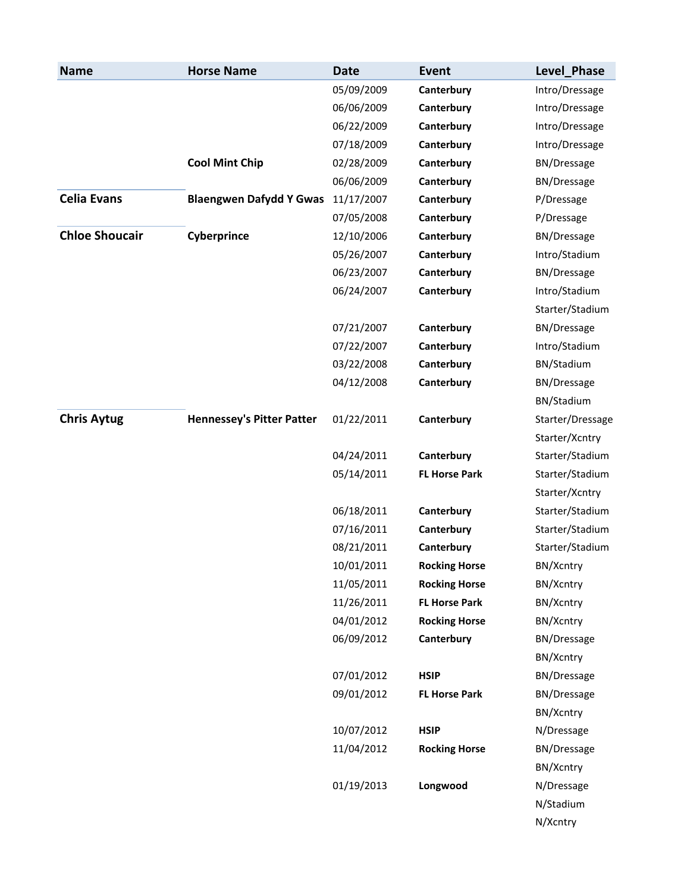| <b>Name</b>           | <b>Horse Name</b>                | <b>Date</b> | <b>Event</b>         | Level_Phase        |
|-----------------------|----------------------------------|-------------|----------------------|--------------------|
|                       |                                  | 05/09/2009  | Canterbury           | Intro/Dressage     |
|                       |                                  | 06/06/2009  | Canterbury           | Intro/Dressage     |
|                       |                                  | 06/22/2009  | Canterbury           | Intro/Dressage     |
|                       |                                  | 07/18/2009  | Canterbury           | Intro/Dressage     |
|                       | <b>Cool Mint Chip</b>            | 02/28/2009  | Canterbury           | <b>BN/Dressage</b> |
|                       |                                  | 06/06/2009  | Canterbury           | <b>BN/Dressage</b> |
| <b>Celia Evans</b>    | <b>Blaengwen Dafydd Y Gwas</b>   | 11/17/2007  | Canterbury           | P/Dressage         |
|                       |                                  | 07/05/2008  | Canterbury           | P/Dressage         |
| <b>Chloe Shoucair</b> | Cyberprince                      | 12/10/2006  | Canterbury           | <b>BN/Dressage</b> |
|                       |                                  | 05/26/2007  | Canterbury           | Intro/Stadium      |
|                       |                                  | 06/23/2007  | Canterbury           | <b>BN/Dressage</b> |
|                       |                                  | 06/24/2007  | Canterbury           | Intro/Stadium      |
|                       |                                  |             |                      | Starter/Stadium    |
|                       |                                  | 07/21/2007  | Canterbury           | <b>BN/Dressage</b> |
|                       |                                  | 07/22/2007  | Canterbury           | Intro/Stadium      |
|                       |                                  | 03/22/2008  | Canterbury           | BN/Stadium         |
|                       |                                  | 04/12/2008  | Canterbury           | <b>BN/Dressage</b> |
|                       |                                  |             |                      | BN/Stadium         |
| <b>Chris Aytug</b>    | <b>Hennessey's Pitter Patter</b> | 01/22/2011  | Canterbury           | Starter/Dressage   |
|                       |                                  |             |                      | Starter/Xcntry     |
|                       |                                  | 04/24/2011  | Canterbury           | Starter/Stadium    |
|                       |                                  | 05/14/2011  | <b>FL Horse Park</b> | Starter/Stadium    |
|                       |                                  |             |                      | Starter/Xcntry     |
|                       |                                  | 06/18/2011  | Canterbury           | Starter/Stadium    |
|                       |                                  | 07/16/2011  | Canterbury           | Starter/Stadium    |
|                       |                                  | 08/21/2011  | Canterbury           | Starter/Stadium    |
|                       |                                  | 10/01/2011  | <b>Rocking Horse</b> | BN/Xcntry          |
|                       |                                  | 11/05/2011  | <b>Rocking Horse</b> | BN/Xcntry          |
|                       |                                  | 11/26/2011  | <b>FL Horse Park</b> | BN/Xcntry          |
|                       |                                  | 04/01/2012  | <b>Rocking Horse</b> | BN/Xcntry          |
|                       |                                  | 06/09/2012  | Canterbury           | <b>BN/Dressage</b> |
|                       |                                  |             |                      | BN/Xcntry          |
|                       |                                  | 07/01/2012  | <b>HSIP</b>          | <b>BN/Dressage</b> |
|                       |                                  | 09/01/2012  | <b>FL Horse Park</b> | <b>BN/Dressage</b> |
|                       |                                  |             |                      | BN/Xcntry          |
|                       |                                  | 10/07/2012  | <b>HSIP</b>          | N/Dressage         |
|                       |                                  | 11/04/2012  | <b>Rocking Horse</b> | <b>BN/Dressage</b> |
|                       |                                  |             |                      | BN/Xcntry          |
|                       |                                  | 01/19/2013  | Longwood             | N/Dressage         |
|                       |                                  |             |                      | N/Stadium          |
|                       |                                  |             |                      | N/Xcntry           |
|                       |                                  |             |                      |                    |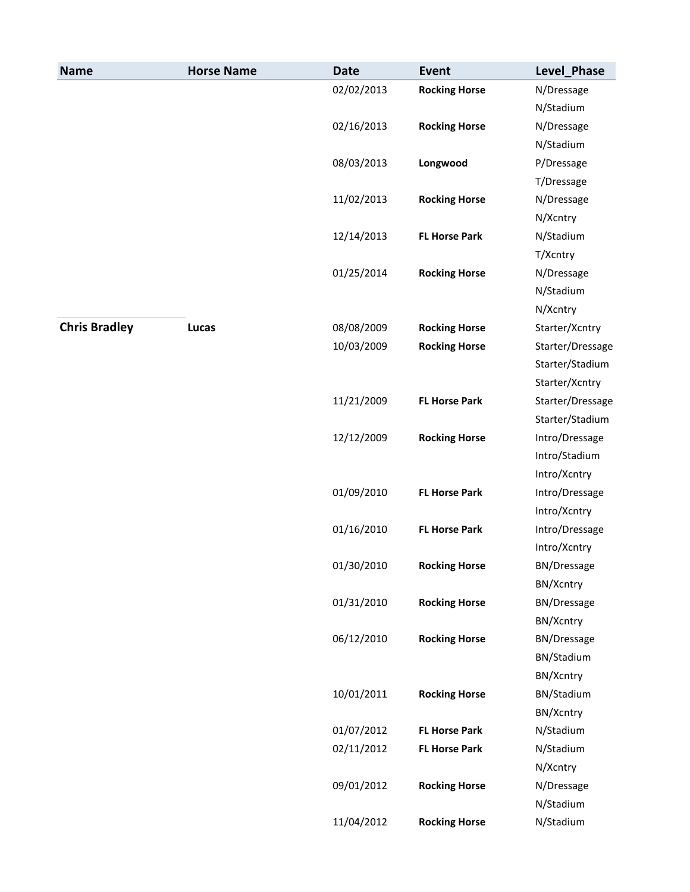| <b>Name</b>          | <b>Horse Name</b> | <b>Date</b> | <b>Event</b>         | Level_Phase        |
|----------------------|-------------------|-------------|----------------------|--------------------|
|                      |                   | 02/02/2013  | <b>Rocking Horse</b> | N/Dressage         |
|                      |                   |             |                      | N/Stadium          |
|                      |                   | 02/16/2013  | <b>Rocking Horse</b> | N/Dressage         |
|                      |                   |             |                      | N/Stadium          |
|                      |                   | 08/03/2013  | Longwood             | P/Dressage         |
|                      |                   |             |                      | T/Dressage         |
|                      |                   | 11/02/2013  | <b>Rocking Horse</b> | N/Dressage         |
|                      |                   |             |                      | N/Xcntry           |
|                      |                   | 12/14/2013  | <b>FL Horse Park</b> | N/Stadium          |
|                      |                   |             |                      | T/Xcntry           |
|                      |                   | 01/25/2014  | <b>Rocking Horse</b> | N/Dressage         |
|                      |                   |             |                      | N/Stadium          |
|                      |                   |             |                      | N/Xcntry           |
| <b>Chris Bradley</b> | <b>Lucas</b>      | 08/08/2009  | <b>Rocking Horse</b> | Starter/Xcntry     |
|                      |                   | 10/03/2009  | <b>Rocking Horse</b> | Starter/Dressage   |
|                      |                   |             |                      | Starter/Stadium    |
|                      |                   |             |                      | Starter/Xcntry     |
|                      |                   | 11/21/2009  | <b>FL Horse Park</b> | Starter/Dressage   |
|                      |                   |             |                      | Starter/Stadium    |
|                      |                   | 12/12/2009  | <b>Rocking Horse</b> | Intro/Dressage     |
|                      |                   |             |                      | Intro/Stadium      |
|                      |                   |             |                      | Intro/Xcntry       |
|                      |                   | 01/09/2010  | <b>FL Horse Park</b> | Intro/Dressage     |
|                      |                   |             |                      | Intro/Xcntry       |
|                      |                   | 01/16/2010  | <b>FL Horse Park</b> | Intro/Dressage     |
|                      |                   |             |                      | Intro/Xcntry       |
|                      |                   | 01/30/2010  | <b>Rocking Horse</b> | <b>BN/Dressage</b> |
|                      |                   |             |                      | BN/Xcntry          |
|                      |                   | 01/31/2010  | <b>Rocking Horse</b> | <b>BN/Dressage</b> |
|                      |                   |             |                      | BN/Xcntry          |
|                      |                   | 06/12/2010  | <b>Rocking Horse</b> | <b>BN/Dressage</b> |
|                      |                   |             |                      | BN/Stadium         |
|                      |                   |             |                      | BN/Xcntry          |
|                      |                   | 10/01/2011  | <b>Rocking Horse</b> | BN/Stadium         |
|                      |                   |             |                      | BN/Xcntry          |
|                      |                   | 01/07/2012  | <b>FL Horse Park</b> | N/Stadium          |
|                      |                   | 02/11/2012  | <b>FL Horse Park</b> | N/Stadium          |
|                      |                   |             |                      | N/Xcntry           |
|                      |                   | 09/01/2012  | <b>Rocking Horse</b> | N/Dressage         |
|                      |                   |             |                      | N/Stadium          |
|                      |                   | 11/04/2012  | <b>Rocking Horse</b> | N/Stadium          |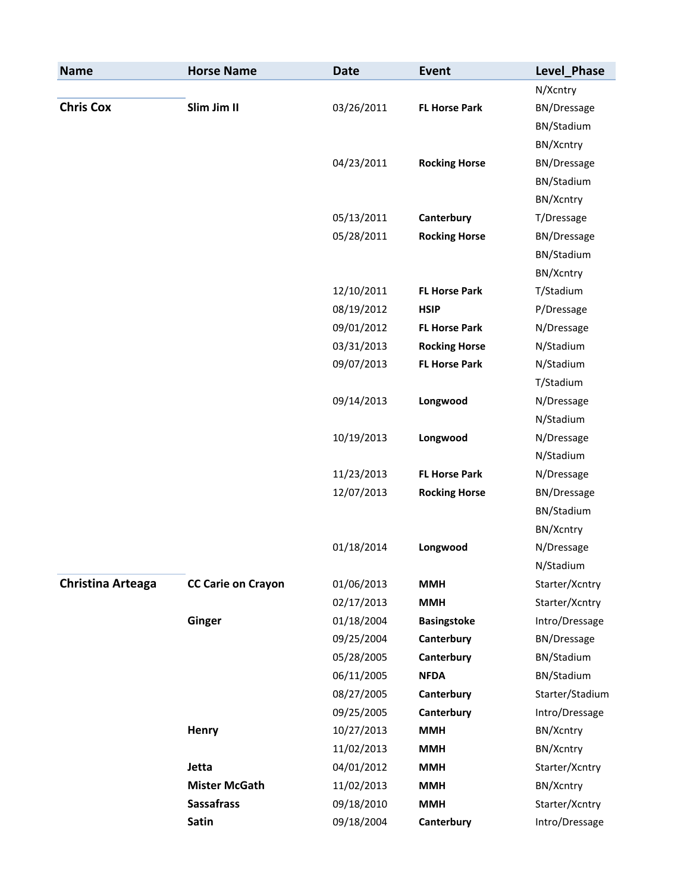| <b>Name</b>              | <b>Horse Name</b>         | <b>Date</b> | <b>Event</b>         | Level_Phase        |
|--------------------------|---------------------------|-------------|----------------------|--------------------|
|                          |                           |             |                      | N/Xcntry           |
| <b>Chris Cox</b>         | Slim Jim II               | 03/26/2011  | <b>FL Horse Park</b> | <b>BN/Dressage</b> |
|                          |                           |             |                      | BN/Stadium         |
|                          |                           |             |                      | BN/Xcntry          |
|                          |                           | 04/23/2011  | <b>Rocking Horse</b> | <b>BN/Dressage</b> |
|                          |                           |             |                      | BN/Stadium         |
|                          |                           |             |                      | BN/Xcntry          |
|                          |                           | 05/13/2011  | Canterbury           | T/Dressage         |
|                          |                           | 05/28/2011  | <b>Rocking Horse</b> | <b>BN/Dressage</b> |
|                          |                           |             |                      | BN/Stadium         |
|                          |                           |             |                      | BN/Xcntry          |
|                          |                           | 12/10/2011  | <b>FL Horse Park</b> | T/Stadium          |
|                          |                           | 08/19/2012  | <b>HSIP</b>          | P/Dressage         |
|                          |                           | 09/01/2012  | <b>FL Horse Park</b> | N/Dressage         |
|                          |                           | 03/31/2013  | <b>Rocking Horse</b> | N/Stadium          |
|                          |                           | 09/07/2013  | <b>FL Horse Park</b> | N/Stadium          |
|                          |                           |             |                      | T/Stadium          |
|                          |                           | 09/14/2013  | Longwood             | N/Dressage         |
|                          |                           |             |                      | N/Stadium          |
|                          |                           | 10/19/2013  | Longwood             | N/Dressage         |
|                          |                           |             |                      | N/Stadium          |
|                          |                           | 11/23/2013  | <b>FL Horse Park</b> | N/Dressage         |
|                          |                           | 12/07/2013  | <b>Rocking Horse</b> | <b>BN/Dressage</b> |
|                          |                           |             |                      | BN/Stadium         |
|                          |                           |             |                      | BN/Xcntry          |
|                          |                           | 01/18/2014  | Longwood             | N/Dressage         |
|                          |                           |             |                      | N/Stadium          |
| <b>Christina Arteaga</b> | <b>CC Carie on Crayon</b> | 01/06/2013  | <b>MMH</b>           | Starter/Xcntry     |
|                          |                           | 02/17/2013  | <b>MMH</b>           | Starter/Xcntry     |
|                          | Ginger                    | 01/18/2004  | <b>Basingstoke</b>   | Intro/Dressage     |
|                          |                           | 09/25/2004  | Canterbury           | <b>BN/Dressage</b> |
|                          |                           | 05/28/2005  | Canterbury           | BN/Stadium         |
|                          |                           | 06/11/2005  | <b>NFDA</b>          | BN/Stadium         |
|                          |                           | 08/27/2005  | Canterbury           | Starter/Stadium    |
|                          |                           | 09/25/2005  | Canterbury           | Intro/Dressage     |
|                          | <b>Henry</b>              | 10/27/2013  | <b>MMH</b>           | BN/Xcntry          |
|                          |                           | 11/02/2013  | <b>MMH</b>           | BN/Xcntry          |
|                          | Jetta                     | 04/01/2012  | <b>MMH</b>           | Starter/Xcntry     |
|                          | <b>Mister McGath</b>      | 11/02/2013  | <b>MMH</b>           | BN/Xcntry          |
|                          | <b>Sassafrass</b>         | 09/18/2010  | <b>MMH</b>           | Starter/Xcntry     |
|                          | Satin                     | 09/18/2004  | Canterbury           | Intro/Dressage     |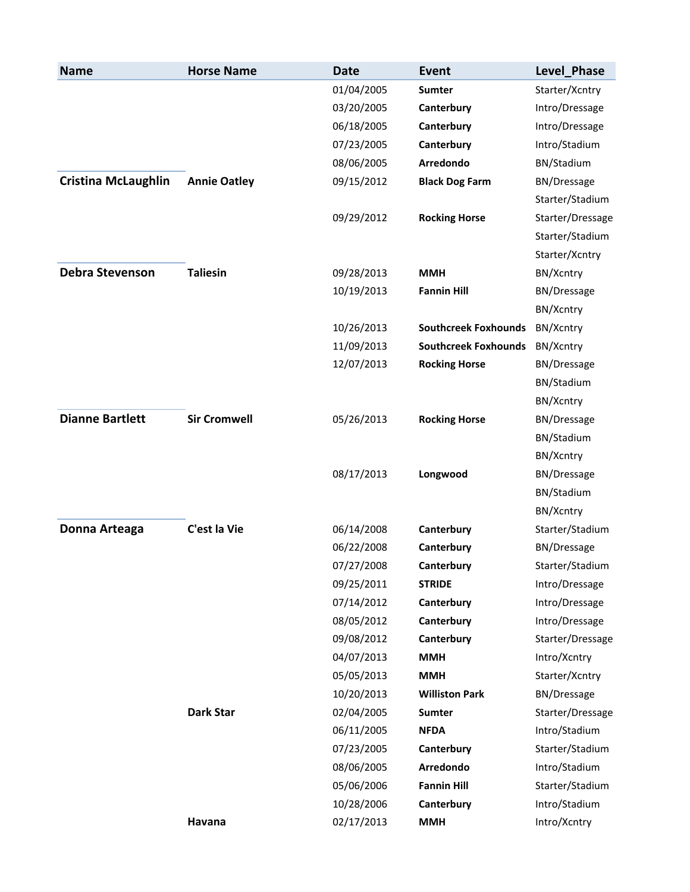| <b>Name</b>                | <b>Horse Name</b>   | <b>Date</b> | Event                       | Level Phase        |
|----------------------------|---------------------|-------------|-----------------------------|--------------------|
|                            |                     | 01/04/2005  | <b>Sumter</b>               | Starter/Xcntry     |
|                            |                     | 03/20/2005  | Canterbury                  | Intro/Dressage     |
|                            |                     | 06/18/2005  | Canterbury                  | Intro/Dressage     |
|                            |                     | 07/23/2005  | Canterbury                  | Intro/Stadium      |
|                            |                     | 08/06/2005  | Arredondo                   | BN/Stadium         |
| <b>Cristina McLaughlin</b> | <b>Annie Oatley</b> | 09/15/2012  | <b>Black Dog Farm</b>       | <b>BN/Dressage</b> |
|                            |                     |             |                             | Starter/Stadium    |
|                            |                     | 09/29/2012  | <b>Rocking Horse</b>        | Starter/Dressage   |
|                            |                     |             |                             | Starter/Stadium    |
|                            |                     |             |                             | Starter/Xcntry     |
| <b>Debra Stevenson</b>     | <b>Taliesin</b>     | 09/28/2013  | <b>MMH</b>                  | BN/Xcntry          |
|                            |                     | 10/19/2013  | <b>Fannin Hill</b>          | <b>BN/Dressage</b> |
|                            |                     |             |                             | BN/Xcntry          |
|                            |                     | 10/26/2013  | <b>Southcreek Foxhounds</b> | BN/Xcntry          |
|                            |                     | 11/09/2013  | <b>Southcreek Foxhounds</b> | BN/Xcntry          |
|                            |                     | 12/07/2013  | <b>Rocking Horse</b>        | <b>BN/Dressage</b> |
|                            |                     |             |                             | BN/Stadium         |
|                            |                     |             |                             | BN/Xcntry          |
| <b>Dianne Bartlett</b>     | <b>Sir Cromwell</b> | 05/26/2013  | <b>Rocking Horse</b>        | <b>BN/Dressage</b> |
|                            |                     |             |                             | BN/Stadium         |
|                            |                     |             |                             | BN/Xcntry          |
|                            |                     | 08/17/2013  | Longwood                    | <b>BN/Dressage</b> |
|                            |                     |             |                             | BN/Stadium         |
|                            |                     |             |                             | BN/Xcntry          |
| Donna Arteaga              | C'est la Vie        | 06/14/2008  | Canterbury                  | Starter/Stadium    |
|                            |                     | 06/22/2008  | Canterbury                  | <b>BN/Dressage</b> |
|                            |                     | 07/27/2008  | Canterbury                  | Starter/Stadium    |
|                            |                     | 09/25/2011  | <b>STRIDE</b>               | Intro/Dressage     |
|                            |                     | 07/14/2012  | Canterbury                  | Intro/Dressage     |
|                            |                     | 08/05/2012  | Canterbury                  | Intro/Dressage     |
|                            |                     | 09/08/2012  | Canterbury                  | Starter/Dressage   |
|                            |                     | 04/07/2013  | <b>MMH</b>                  | Intro/Xcntry       |
|                            |                     | 05/05/2013  | <b>MMH</b>                  | Starter/Xcntry     |
|                            |                     | 10/20/2013  | <b>Williston Park</b>       | <b>BN/Dressage</b> |
|                            | <b>Dark Star</b>    | 02/04/2005  | <b>Sumter</b>               | Starter/Dressage   |
|                            |                     | 06/11/2005  | <b>NFDA</b>                 | Intro/Stadium      |
|                            |                     | 07/23/2005  | Canterbury                  | Starter/Stadium    |
|                            |                     | 08/06/2005  | Arredondo                   | Intro/Stadium      |
|                            |                     | 05/06/2006  | <b>Fannin Hill</b>          | Starter/Stadium    |
|                            |                     | 10/28/2006  | Canterbury                  | Intro/Stadium      |
|                            | Havana              | 02/17/2013  | <b>MMH</b>                  | Intro/Xcntry       |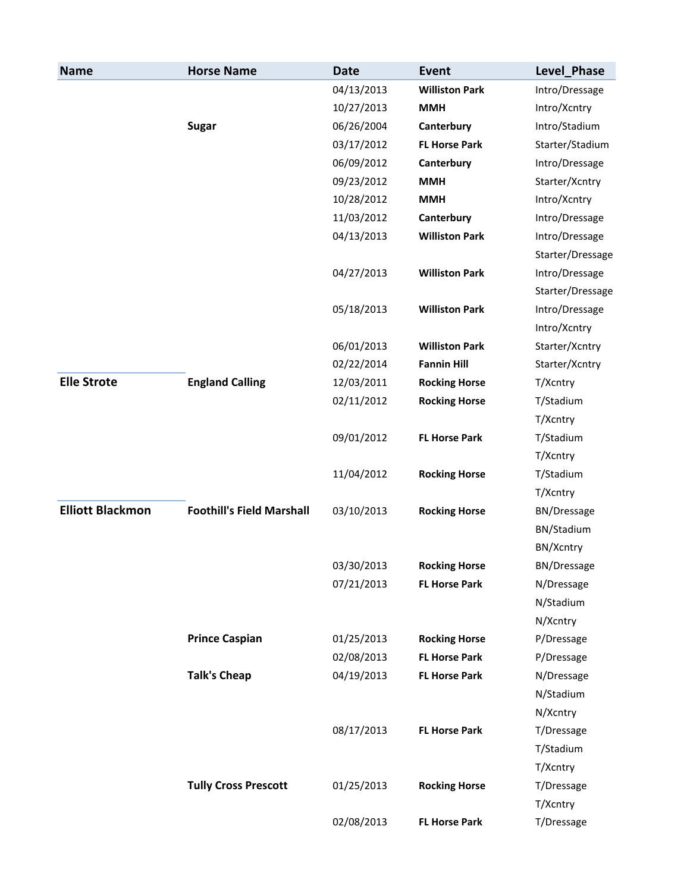| <b>Name</b>             | <b>Horse Name</b>                | <b>Date</b> | Event                 | Level Phase        |
|-------------------------|----------------------------------|-------------|-----------------------|--------------------|
|                         |                                  | 04/13/2013  | <b>Williston Park</b> | Intro/Dressage     |
|                         |                                  | 10/27/2013  | <b>MMH</b>            | Intro/Xcntry       |
|                         | <b>Sugar</b>                     | 06/26/2004  | Canterbury            | Intro/Stadium      |
|                         |                                  | 03/17/2012  | <b>FL Horse Park</b>  | Starter/Stadium    |
|                         |                                  | 06/09/2012  | Canterbury            | Intro/Dressage     |
|                         |                                  | 09/23/2012  | <b>MMH</b>            | Starter/Xcntry     |
|                         |                                  | 10/28/2012  | <b>MMH</b>            | Intro/Xcntry       |
|                         |                                  | 11/03/2012  | Canterbury            | Intro/Dressage     |
|                         |                                  | 04/13/2013  | <b>Williston Park</b> | Intro/Dressage     |
|                         |                                  |             |                       | Starter/Dressage   |
|                         |                                  | 04/27/2013  | <b>Williston Park</b> | Intro/Dressage     |
|                         |                                  |             |                       | Starter/Dressage   |
|                         |                                  | 05/18/2013  | <b>Williston Park</b> | Intro/Dressage     |
|                         |                                  |             |                       | Intro/Xcntry       |
|                         |                                  | 06/01/2013  | <b>Williston Park</b> | Starter/Xcntry     |
|                         |                                  | 02/22/2014  | <b>Fannin Hill</b>    | Starter/Xcntry     |
| <b>Elle Strote</b>      | <b>England Calling</b>           | 12/03/2011  | <b>Rocking Horse</b>  | T/Xcntry           |
|                         |                                  | 02/11/2012  | <b>Rocking Horse</b>  | T/Stadium          |
|                         |                                  |             |                       | T/Xcntry           |
|                         |                                  | 09/01/2012  | <b>FL Horse Park</b>  | T/Stadium          |
|                         |                                  |             |                       | T/Xcntry           |
|                         |                                  | 11/04/2012  | <b>Rocking Horse</b>  | T/Stadium          |
|                         |                                  |             |                       | T/Xcntry           |
| <b>Elliott Blackmon</b> | <b>Foothill's Field Marshall</b> | 03/10/2013  | <b>Rocking Horse</b>  | <b>BN/Dressage</b> |
|                         |                                  |             |                       | BN/Stadium         |
|                         |                                  |             |                       | BN/Xcntry          |
|                         |                                  | 03/30/2013  | <b>Rocking Horse</b>  | BN/Dressage        |
|                         |                                  | 07/21/2013  | <b>FL Horse Park</b>  | N/Dressage         |
|                         |                                  |             |                       | N/Stadium          |
|                         |                                  |             |                       | N/Xcntry           |
|                         | <b>Prince Caspian</b>            | 01/25/2013  | <b>Rocking Horse</b>  | P/Dressage         |
|                         |                                  | 02/08/2013  | <b>FL Horse Park</b>  | P/Dressage         |
|                         | <b>Talk's Cheap</b>              | 04/19/2013  | <b>FL Horse Park</b>  | N/Dressage         |
|                         |                                  |             |                       | N/Stadium          |
|                         |                                  |             |                       | N/Xcntry           |
|                         |                                  | 08/17/2013  | <b>FL Horse Park</b>  | T/Dressage         |
|                         |                                  |             |                       | T/Stadium          |
|                         |                                  |             |                       | T/Xcntry           |
|                         | <b>Tully Cross Prescott</b>      | 01/25/2013  | <b>Rocking Horse</b>  | T/Dressage         |
|                         |                                  |             |                       | T/Xcntry           |
|                         |                                  | 02/08/2013  | <b>FL Horse Park</b>  | T/Dressage         |
|                         |                                  |             |                       |                    |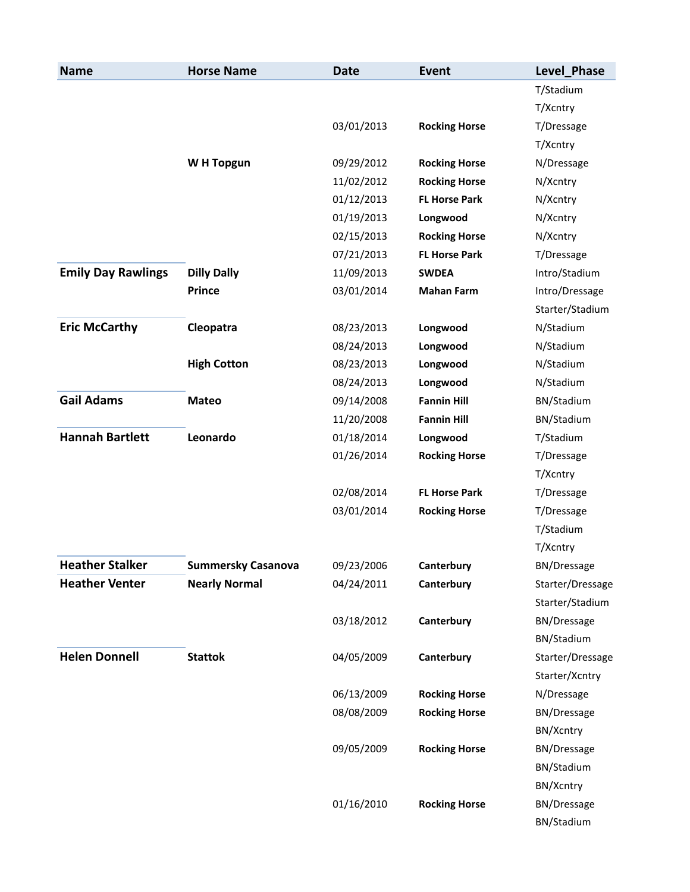| <b>Name</b>               | <b>Horse Name</b>         | <b>Date</b> | <b>Event</b>         | Level_Phase        |
|---------------------------|---------------------------|-------------|----------------------|--------------------|
|                           |                           |             |                      | T/Stadium          |
|                           |                           |             |                      | T/Xcntry           |
|                           |                           | 03/01/2013  | <b>Rocking Horse</b> | T/Dressage         |
|                           |                           |             |                      | T/Xcntry           |
|                           | W H Topgun                | 09/29/2012  | <b>Rocking Horse</b> | N/Dressage         |
|                           |                           | 11/02/2012  | <b>Rocking Horse</b> | N/Xcntry           |
|                           |                           | 01/12/2013  | <b>FL Horse Park</b> | N/Xcntry           |
|                           |                           | 01/19/2013  | Longwood             | N/Xcntry           |
|                           |                           | 02/15/2013  | <b>Rocking Horse</b> | N/Xcntry           |
|                           |                           | 07/21/2013  | <b>FL Horse Park</b> | T/Dressage         |
| <b>Emily Day Rawlings</b> | <b>Dilly Dally</b>        | 11/09/2013  | <b>SWDEA</b>         | Intro/Stadium      |
|                           | <b>Prince</b>             | 03/01/2014  | <b>Mahan Farm</b>    | Intro/Dressage     |
|                           |                           |             |                      | Starter/Stadium    |
| <b>Eric McCarthy</b>      | Cleopatra                 | 08/23/2013  | Longwood             | N/Stadium          |
|                           |                           | 08/24/2013  | Longwood             | N/Stadium          |
|                           | <b>High Cotton</b>        | 08/23/2013  | Longwood             | N/Stadium          |
|                           |                           | 08/24/2013  | Longwood             | N/Stadium          |
| <b>Gail Adams</b>         | <b>Mateo</b>              | 09/14/2008  | <b>Fannin Hill</b>   | BN/Stadium         |
|                           |                           | 11/20/2008  | <b>Fannin Hill</b>   | BN/Stadium         |
| <b>Hannah Bartlett</b>    | Leonardo                  | 01/18/2014  | Longwood             | T/Stadium          |
|                           |                           | 01/26/2014  | <b>Rocking Horse</b> | T/Dressage         |
|                           |                           |             |                      | T/Xcntry           |
|                           |                           | 02/08/2014  | <b>FL Horse Park</b> | T/Dressage         |
|                           |                           | 03/01/2014  | <b>Rocking Horse</b> | T/Dressage         |
|                           |                           |             |                      | T/Stadium          |
|                           |                           |             |                      | T/Xcntry           |
| <b>Heather Stalker</b>    | <b>Summersky Casanova</b> | 09/23/2006  | Canterbury           | BN/Dressage        |
| <b>Heather Venter</b>     | <b>Nearly Normal</b>      | 04/24/2011  | Canterbury           | Starter/Dressage   |
|                           |                           |             |                      | Starter/Stadium    |
|                           |                           | 03/18/2012  | Canterbury           | <b>BN/Dressage</b> |
|                           |                           |             |                      | BN/Stadium         |
| <b>Helen Donnell</b>      | <b>Stattok</b>            | 04/05/2009  | Canterbury           | Starter/Dressage   |
|                           |                           |             |                      | Starter/Xcntry     |
|                           |                           | 06/13/2009  | <b>Rocking Horse</b> | N/Dressage         |
|                           |                           | 08/08/2009  | <b>Rocking Horse</b> | <b>BN/Dressage</b> |
|                           |                           |             |                      | BN/Xcntry          |
|                           |                           | 09/05/2009  | <b>Rocking Horse</b> | <b>BN/Dressage</b> |
|                           |                           |             |                      | BN/Stadium         |
|                           |                           |             |                      | BN/Xcntry          |
|                           |                           | 01/16/2010  | <b>Rocking Horse</b> | <b>BN/Dressage</b> |
|                           |                           |             |                      | BN/Stadium         |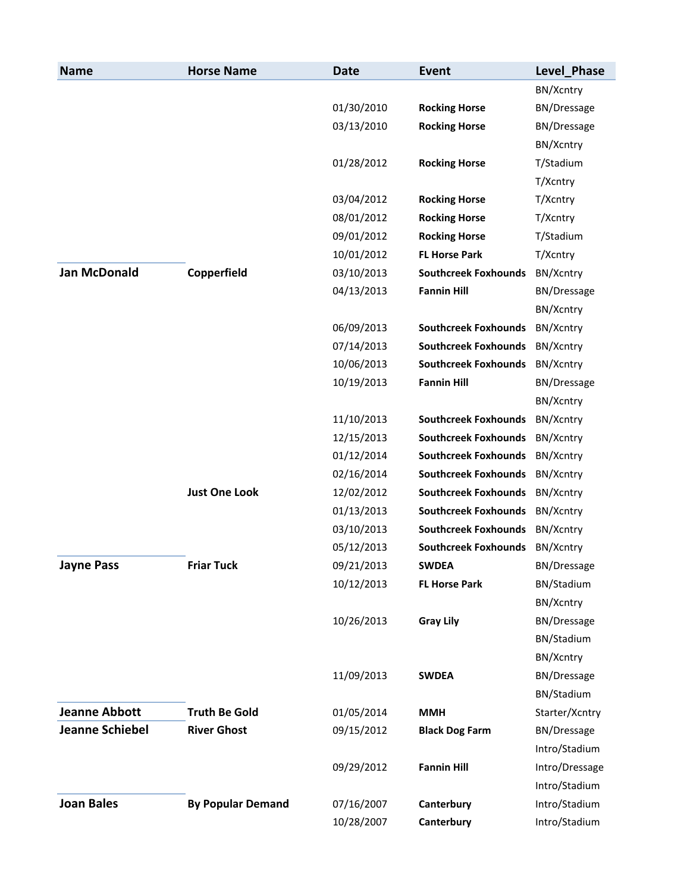| <b>Name</b>            | <b>Horse Name</b>        | <b>Date</b> | <b>Event</b>                   | Level_Phase        |
|------------------------|--------------------------|-------------|--------------------------------|--------------------|
|                        |                          |             |                                | BN/Xcntry          |
|                        |                          | 01/30/2010  | <b>Rocking Horse</b>           | <b>BN/Dressage</b> |
|                        |                          | 03/13/2010  | <b>Rocking Horse</b>           | <b>BN/Dressage</b> |
|                        |                          |             |                                | BN/Xcntry          |
|                        |                          | 01/28/2012  | <b>Rocking Horse</b>           | T/Stadium          |
|                        |                          |             |                                | T/Xcntry           |
|                        |                          | 03/04/2012  | <b>Rocking Horse</b>           | T/Xcntry           |
|                        |                          | 08/01/2012  | <b>Rocking Horse</b>           | T/Xcntry           |
|                        |                          | 09/01/2012  | <b>Rocking Horse</b>           | T/Stadium          |
|                        |                          | 10/01/2012  | <b>FL Horse Park</b>           | T/Xcntry           |
| <b>Jan McDonald</b>    | Copperfield              | 03/10/2013  | <b>Southcreek Foxhounds</b>    | BN/Xcntry          |
|                        |                          | 04/13/2013  | <b>Fannin Hill</b>             | BN/Dressage        |
|                        |                          |             |                                | BN/Xcntry          |
|                        |                          | 06/09/2013  | <b>Southcreek Foxhounds</b>    | BN/Xcntry          |
|                        |                          | 07/14/2013  | <b>Southcreek Foxhounds</b>    | BN/Xcntry          |
|                        |                          | 10/06/2013  | <b>Southcreek Foxhounds</b>    | BN/Xcntry          |
|                        |                          | 10/19/2013  | <b>Fannin Hill</b>             | <b>BN/Dressage</b> |
|                        |                          |             |                                | BN/Xcntry          |
|                        |                          | 11/10/2013  | <b>Southcreek Foxhounds</b>    | BN/Xcntry          |
|                        |                          | 12/15/2013  | <b>Southcreek Foxhounds</b>    | BN/Xcntry          |
|                        |                          | 01/12/2014  | <b>Southcreek Foxhounds</b>    | BN/Xcntry          |
|                        |                          | 02/16/2014  | <b>Southcreek Foxhounds</b>    | BN/Xcntry          |
|                        | <b>Just One Look</b>     | 12/02/2012  | <b>Southcreek Foxhounds</b>    | BN/Xcntry          |
|                        |                          | 01/13/2013  | <b>Southcreek Foxhounds</b>    | BN/Xcntry          |
|                        |                          | 03/10/2013  | <b>Southcreek Foxhounds</b>    | BN/Xcntry          |
|                        |                          | 05/12/2013  | Southcreek Foxhounds BN/Xcntry |                    |
| <b>Jayne Pass</b>      | <b>Friar Tuck</b>        | 09/21/2013  | SWDEA                          | <b>BN/Dressage</b> |
|                        |                          | 10/12/2013  | <b>FL Horse Park</b>           | BN/Stadium         |
|                        |                          |             |                                | BN/Xcntry          |
|                        |                          | 10/26/2013  | <b>Gray Lily</b>               | BN/Dressage        |
|                        |                          |             |                                | BN/Stadium         |
|                        |                          |             |                                | BN/Xcntry          |
|                        |                          | 11/09/2013  | <b>SWDEA</b>                   | <b>BN/Dressage</b> |
|                        |                          |             |                                | BN/Stadium         |
| <b>Jeanne Abbott</b>   | <b>Truth Be Gold</b>     | 01/05/2014  | <b>MMH</b>                     | Starter/Xcntry     |
| <b>Jeanne Schiebel</b> | <b>River Ghost</b>       | 09/15/2012  | <b>Black Dog Farm</b>          | <b>BN/Dressage</b> |
|                        |                          |             |                                | Intro/Stadium      |
|                        |                          | 09/29/2012  | <b>Fannin Hill</b>             | Intro/Dressage     |
|                        |                          |             |                                | Intro/Stadium      |
| <b>Joan Bales</b>      | <b>By Popular Demand</b> | 07/16/2007  | Canterbury                     | Intro/Stadium      |
|                        |                          | 10/28/2007  | Canterbury                     | Intro/Stadium      |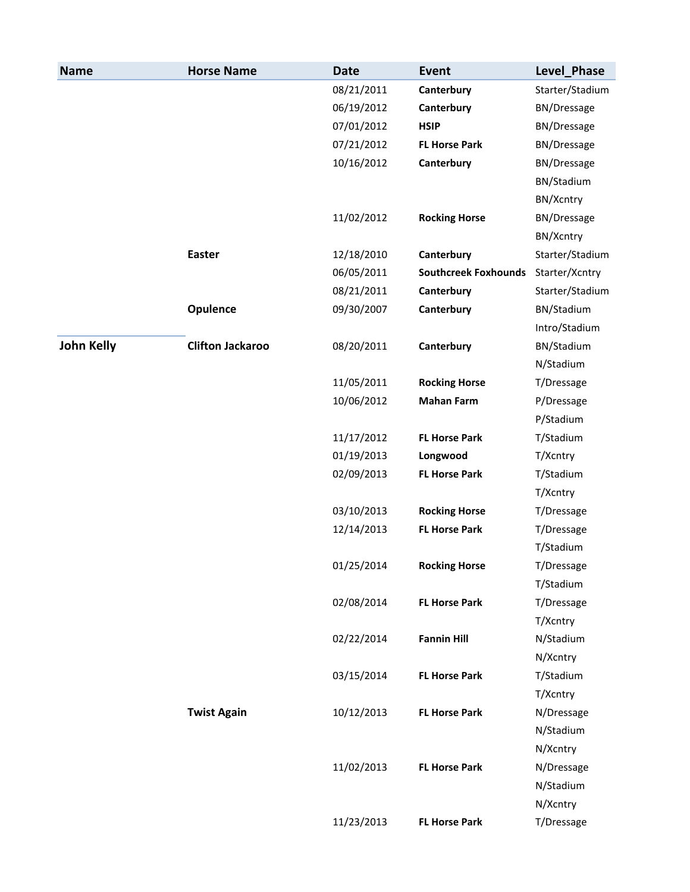| <b>Name</b>       | <b>Horse Name</b>       | <b>Date</b> | Event                       | Level_Phase        |
|-------------------|-------------------------|-------------|-----------------------------|--------------------|
|                   |                         | 08/21/2011  | Canterbury                  | Starter/Stadium    |
|                   |                         | 06/19/2012  | Canterbury                  | <b>BN/Dressage</b> |
|                   |                         | 07/01/2012  | <b>HSIP</b>                 | <b>BN/Dressage</b> |
|                   |                         | 07/21/2012  | <b>FL Horse Park</b>        | <b>BN/Dressage</b> |
|                   |                         | 10/16/2012  | Canterbury                  | <b>BN/Dressage</b> |
|                   |                         |             |                             | BN/Stadium         |
|                   |                         |             |                             | BN/Xcntry          |
|                   |                         | 11/02/2012  | <b>Rocking Horse</b>        | BN/Dressage        |
|                   |                         |             |                             | BN/Xcntry          |
|                   | <b>Easter</b>           | 12/18/2010  | Canterbury                  | Starter/Stadium    |
|                   |                         | 06/05/2011  | <b>Southcreek Foxhounds</b> | Starter/Xcntry     |
|                   |                         | 08/21/2011  | Canterbury                  | Starter/Stadium    |
|                   | Opulence                | 09/30/2007  | Canterbury                  | BN/Stadium         |
|                   |                         |             |                             | Intro/Stadium      |
| <b>John Kelly</b> | <b>Clifton Jackaroo</b> | 08/20/2011  | Canterbury                  | BN/Stadium         |
|                   |                         |             |                             | N/Stadium          |
|                   |                         | 11/05/2011  | <b>Rocking Horse</b>        | T/Dressage         |
|                   |                         | 10/06/2012  | <b>Mahan Farm</b>           | P/Dressage         |
|                   |                         |             |                             | P/Stadium          |
|                   |                         | 11/17/2012  | <b>FL Horse Park</b>        | T/Stadium          |
|                   |                         | 01/19/2013  | Longwood                    | T/Xcntry           |
|                   |                         | 02/09/2013  | <b>FL Horse Park</b>        | T/Stadium          |
|                   |                         |             |                             | T/Xcntry           |
|                   |                         | 03/10/2013  | <b>Rocking Horse</b>        | T/Dressage         |
|                   |                         | 12/14/2013  | <b>FL Horse Park</b>        | T/Dressage         |
|                   |                         |             |                             | T/Stadium          |
|                   |                         | 01/25/2014  | <b>Rocking Horse</b>        | T/Dressage         |
|                   |                         |             |                             | T/Stadium          |
|                   |                         | 02/08/2014  | <b>FL Horse Park</b>        | T/Dressage         |
|                   |                         |             |                             | T/Xcntry           |
|                   |                         | 02/22/2014  | <b>Fannin Hill</b>          | N/Stadium          |
|                   |                         |             |                             | N/Xcntry           |
|                   |                         | 03/15/2014  | <b>FL Horse Park</b>        | T/Stadium          |
|                   |                         |             |                             | T/Xcntry           |
|                   | <b>Twist Again</b>      | 10/12/2013  | <b>FL Horse Park</b>        | N/Dressage         |
|                   |                         |             |                             | N/Stadium          |
|                   |                         |             |                             | N/Xcntry           |
|                   |                         | 11/02/2013  | <b>FL Horse Park</b>        | N/Dressage         |
|                   |                         |             |                             | N/Stadium          |
|                   |                         |             |                             | N/Xcntry           |
|                   |                         | 11/23/2013  | <b>FL Horse Park</b>        | T/Dressage         |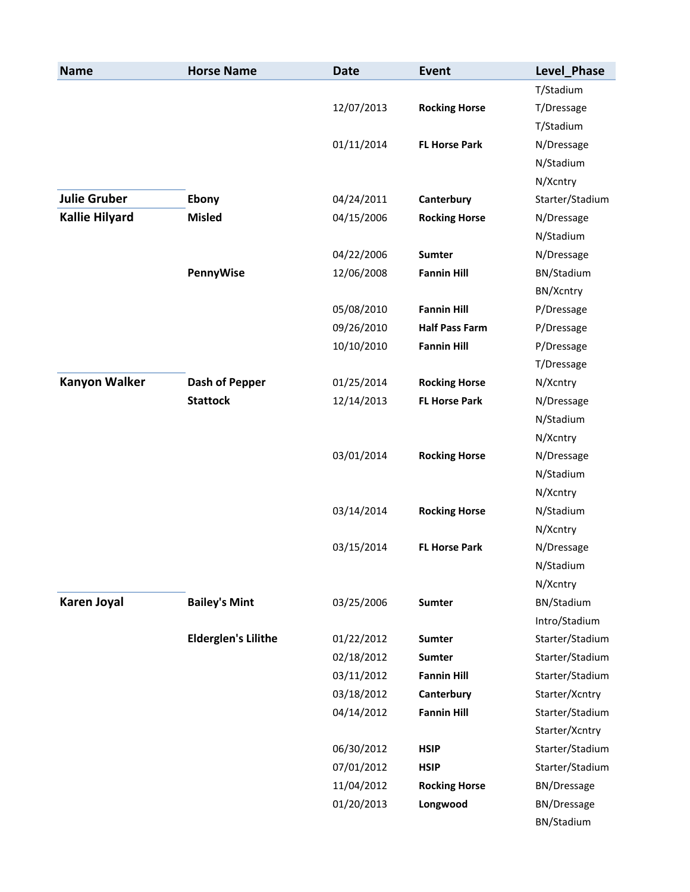| <b>Name</b>           | <b>Horse Name</b>          | <b>Date</b> | <b>Event</b>          | Level_Phase        |
|-----------------------|----------------------------|-------------|-----------------------|--------------------|
|                       |                            |             |                       | T/Stadium          |
|                       |                            | 12/07/2013  | <b>Rocking Horse</b>  | T/Dressage         |
|                       |                            |             |                       | T/Stadium          |
|                       |                            | 01/11/2014  | <b>FL Horse Park</b>  | N/Dressage         |
|                       |                            |             |                       | N/Stadium          |
|                       |                            |             |                       | N/Xcntry           |
| <b>Julie Gruber</b>   | Ebony                      | 04/24/2011  | Canterbury            | Starter/Stadium    |
| <b>Kallie Hilyard</b> | <b>Misled</b>              | 04/15/2006  | <b>Rocking Horse</b>  | N/Dressage         |
|                       |                            |             |                       | N/Stadium          |
|                       |                            | 04/22/2006  | <b>Sumter</b>         | N/Dressage         |
|                       | PennyWise                  | 12/06/2008  | <b>Fannin Hill</b>    | BN/Stadium         |
|                       |                            |             |                       | BN/Xcntry          |
|                       |                            | 05/08/2010  | <b>Fannin Hill</b>    | P/Dressage         |
|                       |                            | 09/26/2010  | <b>Half Pass Farm</b> | P/Dressage         |
|                       |                            | 10/10/2010  | <b>Fannin Hill</b>    | P/Dressage         |
|                       |                            |             |                       | T/Dressage         |
| <b>Kanyon Walker</b>  | <b>Dash of Pepper</b>      | 01/25/2014  | <b>Rocking Horse</b>  | N/Xcntry           |
|                       | <b>Stattock</b>            | 12/14/2013  | <b>FL Horse Park</b>  | N/Dressage         |
|                       |                            |             |                       | N/Stadium          |
|                       |                            |             |                       | N/Xcntry           |
|                       |                            | 03/01/2014  | <b>Rocking Horse</b>  | N/Dressage         |
|                       |                            |             |                       | N/Stadium          |
|                       |                            |             |                       | N/Xcntry           |
|                       |                            | 03/14/2014  | <b>Rocking Horse</b>  | N/Stadium          |
|                       |                            |             |                       | N/Xcntry           |
|                       |                            | 03/15/2014  | <b>FL Horse Park</b>  | N/Dressage         |
|                       |                            |             |                       | N/Stadium          |
|                       |                            |             |                       | N/Xcntry           |
| <b>Karen Joyal</b>    | <b>Bailey's Mint</b>       | 03/25/2006  | Sumter                | BN/Stadium         |
|                       |                            |             |                       | Intro/Stadium      |
|                       | <b>Elderglen's Lilithe</b> | 01/22/2012  | <b>Sumter</b>         | Starter/Stadium    |
|                       |                            | 02/18/2012  | <b>Sumter</b>         | Starter/Stadium    |
|                       |                            | 03/11/2012  | <b>Fannin Hill</b>    | Starter/Stadium    |
|                       |                            | 03/18/2012  | Canterbury            | Starter/Xcntry     |
|                       |                            | 04/14/2012  | <b>Fannin Hill</b>    | Starter/Stadium    |
|                       |                            |             |                       | Starter/Xcntry     |
|                       |                            | 06/30/2012  | <b>HSIP</b>           | Starter/Stadium    |
|                       |                            | 07/01/2012  | <b>HSIP</b>           | Starter/Stadium    |
|                       |                            | 11/04/2012  | <b>Rocking Horse</b>  | <b>BN/Dressage</b> |
|                       |                            | 01/20/2013  | Longwood              | <b>BN/Dressage</b> |
|                       |                            |             |                       | BN/Stadium         |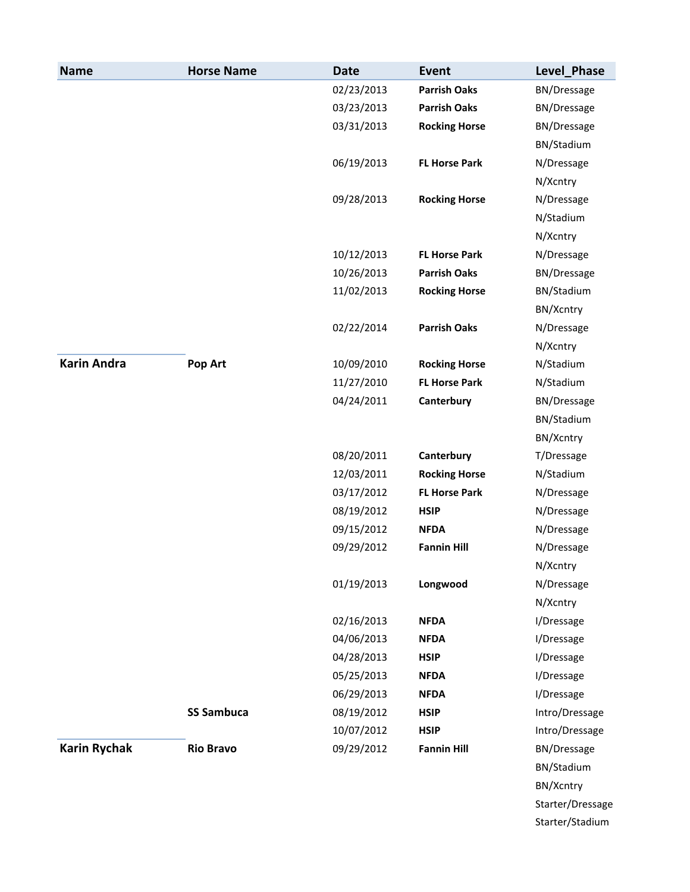| <b>Name</b>         | <b>Horse Name</b> | <b>Date</b> | Event                | Level_Phase        |
|---------------------|-------------------|-------------|----------------------|--------------------|
|                     |                   | 02/23/2013  | <b>Parrish Oaks</b>  | BN/Dressage        |
|                     |                   | 03/23/2013  | <b>Parrish Oaks</b>  | <b>BN/Dressage</b> |
|                     |                   | 03/31/2013  | <b>Rocking Horse</b> | <b>BN/Dressage</b> |
|                     |                   |             |                      | BN/Stadium         |
|                     |                   | 06/19/2013  | <b>FL Horse Park</b> | N/Dressage         |
|                     |                   |             |                      | N/Xcntry           |
|                     |                   | 09/28/2013  | <b>Rocking Horse</b> | N/Dressage         |
|                     |                   |             |                      | N/Stadium          |
|                     |                   |             |                      | N/Xcntry           |
|                     |                   | 10/12/2013  | <b>FL Horse Park</b> | N/Dressage         |
|                     |                   | 10/26/2013  | <b>Parrish Oaks</b>  | <b>BN/Dressage</b> |
|                     |                   | 11/02/2013  | <b>Rocking Horse</b> | BN/Stadium         |
|                     |                   |             |                      | BN/Xcntry          |
|                     |                   | 02/22/2014  | <b>Parrish Oaks</b>  | N/Dressage         |
|                     |                   |             |                      | N/Xcntry           |
| <b>Karin Andra</b>  | Pop Art           | 10/09/2010  | <b>Rocking Horse</b> | N/Stadium          |
|                     |                   | 11/27/2010  | <b>FL Horse Park</b> | N/Stadium          |
|                     |                   | 04/24/2011  | Canterbury           | <b>BN/Dressage</b> |
|                     |                   |             |                      | BN/Stadium         |
|                     |                   |             |                      | BN/Xcntry          |
|                     |                   | 08/20/2011  | Canterbury           | T/Dressage         |
|                     |                   | 12/03/2011  | <b>Rocking Horse</b> | N/Stadium          |
|                     |                   | 03/17/2012  | <b>FL Horse Park</b> | N/Dressage         |
|                     |                   | 08/19/2012  | <b>HSIP</b>          | N/Dressage         |
|                     |                   | 09/15/2012  | <b>NFDA</b>          | N/Dressage         |
|                     |                   | 09/29/2012  | <b>Fannin Hill</b>   | N/Dressage         |
|                     |                   |             |                      | N/Xcntry           |
|                     |                   | 01/19/2013  | Longwood             | N/Dressage         |
|                     |                   |             |                      | N/Xcntry           |
|                     |                   | 02/16/2013  | <b>NFDA</b>          | I/Dressage         |
|                     |                   | 04/06/2013  | <b>NFDA</b>          | I/Dressage         |
|                     |                   | 04/28/2013  | <b>HSIP</b>          | I/Dressage         |
|                     |                   | 05/25/2013  | <b>NFDA</b>          | I/Dressage         |
|                     |                   | 06/29/2013  | <b>NFDA</b>          | I/Dressage         |
|                     | <b>SS Sambuca</b> | 08/19/2012  | <b>HSIP</b>          | Intro/Dressage     |
|                     |                   | 10/07/2012  | <b>HSIP</b>          | Intro/Dressage     |
| <b>Karin Rychak</b> | <b>Rio Bravo</b>  | 09/29/2012  | <b>Fannin Hill</b>   | <b>BN/Dressage</b> |
|                     |                   |             |                      | BN/Stadium         |
|                     |                   |             |                      | BN/Xcntry          |
|                     |                   |             |                      | Starter/Dressage   |
|                     |                   |             |                      | Starter/Stadium    |
|                     |                   |             |                      |                    |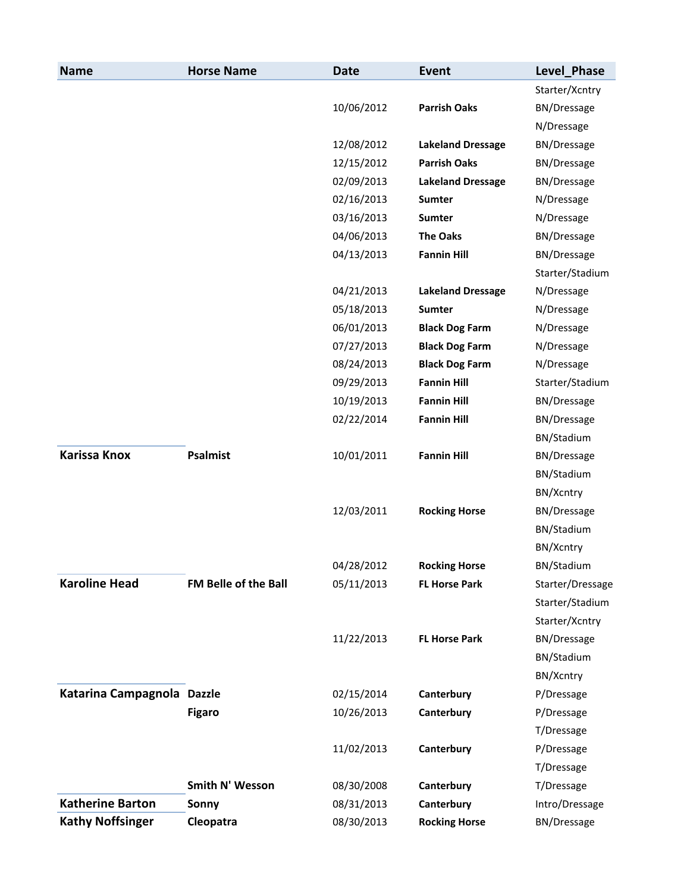| <b>Name</b>                | <b>Horse Name</b>    | <b>Date</b> | Event                    | Level_Phase        |
|----------------------------|----------------------|-------------|--------------------------|--------------------|
|                            |                      |             |                          | Starter/Xcntry     |
|                            |                      | 10/06/2012  | <b>Parrish Oaks</b>      | <b>BN/Dressage</b> |
|                            |                      |             |                          | N/Dressage         |
|                            |                      | 12/08/2012  | <b>Lakeland Dressage</b> | <b>BN/Dressage</b> |
|                            |                      | 12/15/2012  | <b>Parrish Oaks</b>      | BN/Dressage        |
|                            |                      | 02/09/2013  | <b>Lakeland Dressage</b> | BN/Dressage        |
|                            |                      | 02/16/2013  | <b>Sumter</b>            | N/Dressage         |
|                            |                      | 03/16/2013  | <b>Sumter</b>            | N/Dressage         |
|                            |                      | 04/06/2013  | <b>The Oaks</b>          | <b>BN/Dressage</b> |
|                            |                      | 04/13/2013  | <b>Fannin Hill</b>       | <b>BN/Dressage</b> |
|                            |                      |             |                          | Starter/Stadium    |
|                            |                      | 04/21/2013  | <b>Lakeland Dressage</b> | N/Dressage         |
|                            |                      | 05/18/2013  | <b>Sumter</b>            | N/Dressage         |
|                            |                      | 06/01/2013  | <b>Black Dog Farm</b>    | N/Dressage         |
|                            |                      | 07/27/2013  | <b>Black Dog Farm</b>    | N/Dressage         |
|                            |                      | 08/24/2013  | <b>Black Dog Farm</b>    | N/Dressage         |
|                            |                      | 09/29/2013  | <b>Fannin Hill</b>       | Starter/Stadium    |
|                            |                      | 10/19/2013  | <b>Fannin Hill</b>       | <b>BN/Dressage</b> |
|                            |                      | 02/22/2014  | <b>Fannin Hill</b>       | <b>BN/Dressage</b> |
|                            |                      |             |                          | BN/Stadium         |
| <b>Karissa Knox</b>        | <b>Psalmist</b>      | 10/01/2011  | <b>Fannin Hill</b>       | <b>BN/Dressage</b> |
|                            |                      |             |                          | BN/Stadium         |
|                            |                      |             |                          | BN/Xcntry          |
|                            |                      | 12/03/2011  | <b>Rocking Horse</b>     | <b>BN/Dressage</b> |
|                            |                      |             |                          | BN/Stadium         |
|                            |                      |             |                          | BN/Xcntry          |
|                            |                      | 04/28/2012  | <b>Rocking Horse</b>     | BN/Stadium         |
| <b>Karoline Head</b>       | FM Belle of the Ball | 05/11/2013  | <b>FL Horse Park</b>     | Starter/Dressage   |
|                            |                      |             |                          | Starter/Stadium    |
|                            |                      |             |                          | Starter/Xcntry     |
|                            |                      | 11/22/2013  | <b>FL Horse Park</b>     | <b>BN/Dressage</b> |
|                            |                      |             |                          | BN/Stadium         |
|                            |                      |             |                          | BN/Xcntry          |
| Katarina Campagnola Dazzle |                      | 02/15/2014  | Canterbury               | P/Dressage         |
|                            | <b>Figaro</b>        | 10/26/2013  | Canterbury               | P/Dressage         |
|                            |                      |             |                          | T/Dressage         |
|                            |                      | 11/02/2013  | Canterbury               | P/Dressage         |
|                            |                      |             |                          | T/Dressage         |
|                            | Smith N' Wesson      | 08/30/2008  | Canterbury               | T/Dressage         |
| <b>Katherine Barton</b>    | Sonny                | 08/31/2013  | Canterbury               | Intro/Dressage     |
| <b>Kathy Noffsinger</b>    | Cleopatra            | 08/30/2013  | <b>Rocking Horse</b>     | <b>BN/Dressage</b> |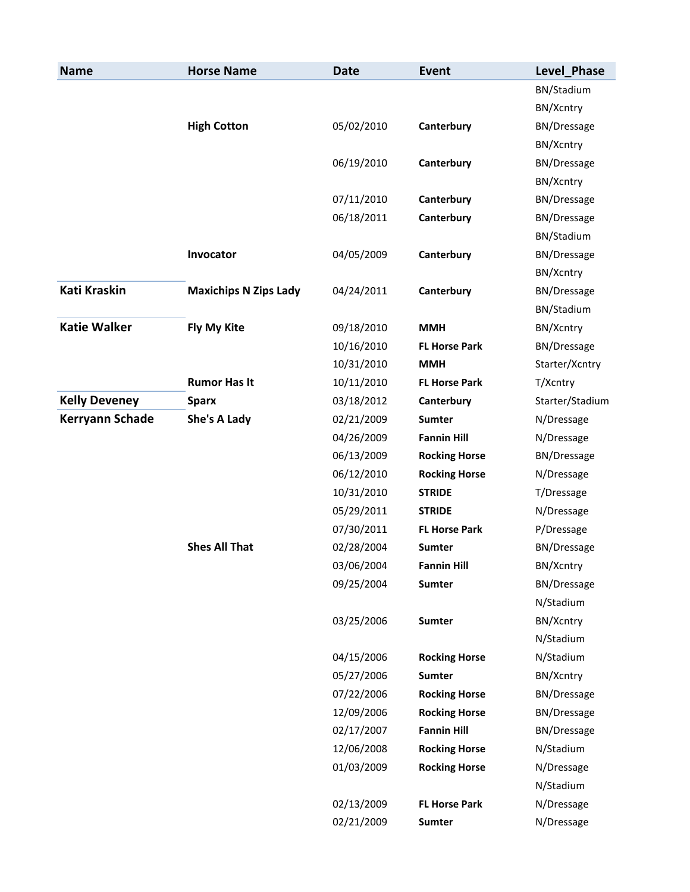| <b>Name</b>            | <b>Horse Name</b>            | <b>Date</b> | <b>Event</b>         | Level Phase        |
|------------------------|------------------------------|-------------|----------------------|--------------------|
|                        |                              |             |                      | BN/Stadium         |
|                        |                              |             |                      | BN/Xcntry          |
|                        | <b>High Cotton</b>           | 05/02/2010  | Canterbury           | <b>BN/Dressage</b> |
|                        |                              |             |                      | BN/Xcntry          |
|                        |                              | 06/19/2010  | Canterbury           | <b>BN/Dressage</b> |
|                        |                              |             |                      | BN/Xcntry          |
|                        |                              | 07/11/2010  | Canterbury           | <b>BN/Dressage</b> |
|                        |                              | 06/18/2011  | Canterbury           | <b>BN/Dressage</b> |
|                        |                              |             |                      | BN/Stadium         |
|                        | Invocator                    | 04/05/2009  | Canterbury           | <b>BN/Dressage</b> |
|                        |                              |             |                      | BN/Xcntry          |
| <b>Kati Kraskin</b>    | <b>Maxichips N Zips Lady</b> | 04/24/2011  | Canterbury           | <b>BN/Dressage</b> |
|                        |                              |             |                      | BN/Stadium         |
| <b>Katie Walker</b>    | Fly My Kite                  | 09/18/2010  | <b>MMH</b>           | BN/Xcntry          |
|                        |                              | 10/16/2010  | <b>FL Horse Park</b> | <b>BN/Dressage</b> |
|                        |                              | 10/31/2010  | <b>MMH</b>           | Starter/Xcntry     |
|                        | <b>Rumor Has It</b>          | 10/11/2010  | <b>FL Horse Park</b> | T/Xcntry           |
| <b>Kelly Deveney</b>   | <b>Sparx</b>                 | 03/18/2012  | Canterbury           | Starter/Stadium    |
| <b>Kerryann Schade</b> | She's A Lady                 | 02/21/2009  | <b>Sumter</b>        | N/Dressage         |
|                        |                              | 04/26/2009  | <b>Fannin Hill</b>   | N/Dressage         |
|                        |                              | 06/13/2009  | <b>Rocking Horse</b> | <b>BN/Dressage</b> |
|                        |                              | 06/12/2010  | <b>Rocking Horse</b> | N/Dressage         |
|                        |                              | 10/31/2010  | <b>STRIDE</b>        | T/Dressage         |
|                        |                              | 05/29/2011  | <b>STRIDE</b>        | N/Dressage         |
|                        |                              | 07/30/2011  | <b>FL Horse Park</b> | P/Dressage         |
|                        | <b>Shes All That</b>         | 02/28/2004  | <b>Sumter</b>        | BN/Dressage        |
|                        |                              | 03/06/2004  | <b>Fannin Hill</b>   | BN/Xcntry          |
|                        |                              | 09/25/2004  | Sumter               | <b>BN/Dressage</b> |
|                        |                              |             |                      | N/Stadium          |
|                        |                              | 03/25/2006  | Sumter               | BN/Xcntry          |
|                        |                              |             |                      | N/Stadium          |
|                        |                              | 04/15/2006  | <b>Rocking Horse</b> | N/Stadium          |
|                        |                              | 05/27/2006  | <b>Sumter</b>        | BN/Xcntry          |
|                        |                              | 07/22/2006  | <b>Rocking Horse</b> | <b>BN/Dressage</b> |
|                        |                              | 12/09/2006  | <b>Rocking Horse</b> | BN/Dressage        |
|                        |                              | 02/17/2007  | <b>Fannin Hill</b>   | <b>BN/Dressage</b> |
|                        |                              | 12/06/2008  | <b>Rocking Horse</b> | N/Stadium          |
|                        |                              | 01/03/2009  | <b>Rocking Horse</b> | N/Dressage         |
|                        |                              |             |                      | N/Stadium          |
|                        |                              | 02/13/2009  | <b>FL Horse Park</b> | N/Dressage         |
|                        |                              | 02/21/2009  | Sumter               | N/Dressage         |
|                        |                              |             |                      |                    |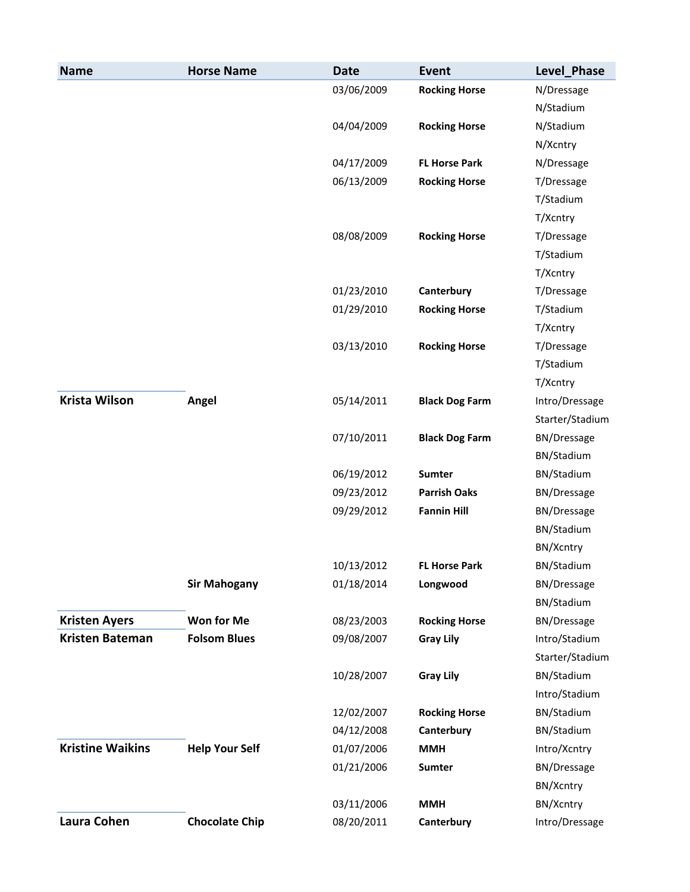| <b>Name</b>             | <b>Horse Name</b>     | <b>Date</b> | <b>Event</b>          | Level_Phase        |
|-------------------------|-----------------------|-------------|-----------------------|--------------------|
|                         |                       | 03/06/2009  | <b>Rocking Horse</b>  | N/Dressage         |
|                         |                       |             |                       | N/Stadium          |
|                         |                       | 04/04/2009  | <b>Rocking Horse</b>  | N/Stadium          |
|                         |                       |             |                       | N/Xcntry           |
|                         |                       | 04/17/2009  | <b>FL Horse Park</b>  | N/Dressage         |
|                         |                       | 06/13/2009  | <b>Rocking Horse</b>  | T/Dressage         |
|                         |                       |             |                       | T/Stadium          |
|                         |                       |             |                       | T/Xcntry           |
|                         |                       | 08/08/2009  | <b>Rocking Horse</b>  | T/Dressage         |
|                         |                       |             |                       | T/Stadium          |
|                         |                       |             |                       | T/Xcntry           |
|                         |                       | 01/23/2010  | Canterbury            | T/Dressage         |
|                         |                       | 01/29/2010  | <b>Rocking Horse</b>  | T/Stadium          |
|                         |                       |             |                       | T/Xcntry           |
|                         |                       | 03/13/2010  | <b>Rocking Horse</b>  | T/Dressage         |
|                         |                       |             |                       | T/Stadium          |
|                         |                       |             |                       | T/Xcntry           |
| Krista Wilson           | Angel                 | 05/14/2011  | <b>Black Dog Farm</b> | Intro/Dressage     |
|                         |                       |             |                       | Starter/Stadium    |
|                         |                       | 07/10/2011  | <b>Black Dog Farm</b> | <b>BN/Dressage</b> |
|                         |                       |             |                       | BN/Stadium         |
|                         |                       | 06/19/2012  | <b>Sumter</b>         | BN/Stadium         |
|                         |                       | 09/23/2012  | <b>Parrish Oaks</b>   | <b>BN/Dressage</b> |
|                         |                       | 09/29/2012  | <b>Fannin Hill</b>    | <b>BN/Dressage</b> |
|                         |                       |             |                       | BN/Stadium         |
|                         |                       |             |                       | BN/Xcntry          |
|                         |                       | 10/13/2012  | <b>FL Horse Park</b>  | BN/Stadium         |
|                         | <b>Sir Mahogany</b>   | 01/18/2014  | Longwood              | <b>BN/Dressage</b> |
|                         |                       |             |                       | BN/Stadium         |
| <b>Kristen Ayers</b>    | <b>Won for Me</b>     | 08/23/2003  | <b>Rocking Horse</b>  | <b>BN/Dressage</b> |
| <b>Kristen Bateman</b>  | <b>Folsom Blues</b>   | 09/08/2007  | <b>Gray Lily</b>      | Intro/Stadium      |
|                         |                       |             |                       | Starter/Stadium    |
|                         |                       | 10/28/2007  | <b>Gray Lily</b>      | BN/Stadium         |
|                         |                       |             |                       | Intro/Stadium      |
|                         |                       | 12/02/2007  | <b>Rocking Horse</b>  | BN/Stadium         |
|                         |                       | 04/12/2008  | Canterbury            | BN/Stadium         |
| <b>Kristine Waikins</b> | <b>Help Your Self</b> | 01/07/2006  | <b>MMH</b>            | Intro/Xcntry       |
|                         |                       | 01/21/2006  | <b>Sumter</b>         | BN/Dressage        |
|                         |                       |             |                       | BN/Xcntry          |
|                         |                       | 03/11/2006  | <b>MMH</b>            | BN/Xcntry          |
| Laura Cohen             | <b>Chocolate Chip</b> | 08/20/2011  | Canterbury            | Intro/Dressage     |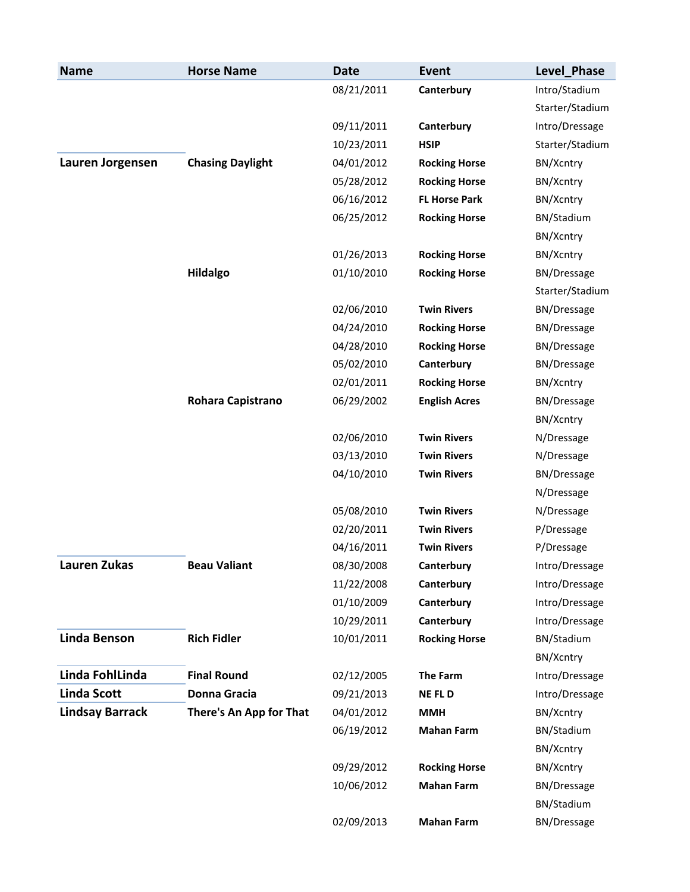| <b>Name</b>            | <b>Horse Name</b>       | <b>Date</b> | <b>Event</b>         | <b>Level Phase</b> |
|------------------------|-------------------------|-------------|----------------------|--------------------|
|                        |                         | 08/21/2011  | Canterbury           | Intro/Stadium      |
|                        |                         |             |                      | Starter/Stadium    |
|                        |                         | 09/11/2011  | Canterbury           | Intro/Dressage     |
|                        |                         | 10/23/2011  | <b>HSIP</b>          | Starter/Stadium    |
| Lauren Jorgensen       | <b>Chasing Daylight</b> | 04/01/2012  | <b>Rocking Horse</b> | BN/Xcntry          |
|                        |                         | 05/28/2012  | <b>Rocking Horse</b> | BN/Xcntry          |
|                        |                         | 06/16/2012  | <b>FL Horse Park</b> | BN/Xcntry          |
|                        |                         | 06/25/2012  | <b>Rocking Horse</b> | BN/Stadium         |
|                        |                         |             |                      | BN/Xcntry          |
|                        |                         | 01/26/2013  | <b>Rocking Horse</b> | BN/Xcntry          |
|                        | <b>Hildalgo</b>         | 01/10/2010  | <b>Rocking Horse</b> | <b>BN/Dressage</b> |
|                        |                         |             |                      | Starter/Stadium    |
|                        |                         | 02/06/2010  | <b>Twin Rivers</b>   | <b>BN/Dressage</b> |
|                        |                         | 04/24/2010  | <b>Rocking Horse</b> | BN/Dressage        |
|                        |                         | 04/28/2010  | <b>Rocking Horse</b> | <b>BN/Dressage</b> |
|                        |                         | 05/02/2010  | Canterbury           | <b>BN/Dressage</b> |
|                        |                         | 02/01/2011  | <b>Rocking Horse</b> | BN/Xcntry          |
|                        | Rohara Capistrano       | 06/29/2002  | <b>English Acres</b> | <b>BN/Dressage</b> |
|                        |                         |             |                      | BN/Xcntry          |
|                        |                         | 02/06/2010  | <b>Twin Rivers</b>   | N/Dressage         |
|                        |                         | 03/13/2010  | <b>Twin Rivers</b>   | N/Dressage         |
|                        |                         | 04/10/2010  | <b>Twin Rivers</b>   | <b>BN/Dressage</b> |
|                        |                         |             |                      | N/Dressage         |
|                        |                         | 05/08/2010  | <b>Twin Rivers</b>   | N/Dressage         |
|                        |                         | 02/20/2011  | <b>Twin Rivers</b>   | P/Dressage         |
|                        |                         | 04/16/2011  | <b>Twin Rivers</b>   | P/Dressage         |
| <b>Lauren Zukas</b>    | <b>Beau Valiant</b>     | 08/30/2008  | Canterbury           | Intro/Dressage     |
|                        |                         | 11/22/2008  | Canterbury           | Intro/Dressage     |
|                        |                         | 01/10/2009  | Canterbury           | Intro/Dressage     |
|                        |                         | 10/29/2011  | Canterbury           | Intro/Dressage     |
| <b>Linda Benson</b>    | <b>Rich Fidler</b>      | 10/01/2011  | <b>Rocking Horse</b> | BN/Stadium         |
|                        |                         |             |                      | BN/Xcntry          |
| Linda FohlLinda        | <b>Final Round</b>      | 02/12/2005  | The Farm             | Intro/Dressage     |
| Linda Scott            | <b>Donna Gracia</b>     | 09/21/2013  | <b>NEFLD</b>         | Intro/Dressage     |
| <b>Lindsay Barrack</b> | There's An App for That | 04/01/2012  | <b>MMH</b>           | BN/Xcntry          |
|                        |                         | 06/19/2012  | <b>Mahan Farm</b>    | BN/Stadium         |
|                        |                         |             |                      | BN/Xcntry          |
|                        |                         | 09/29/2012  | <b>Rocking Horse</b> | BN/Xcntry          |
|                        |                         | 10/06/2012  | <b>Mahan Farm</b>    | <b>BN/Dressage</b> |
|                        |                         |             |                      | BN/Stadium         |
|                        |                         | 02/09/2013  | <b>Mahan Farm</b>    | <b>BN/Dressage</b> |
|                        |                         |             |                      |                    |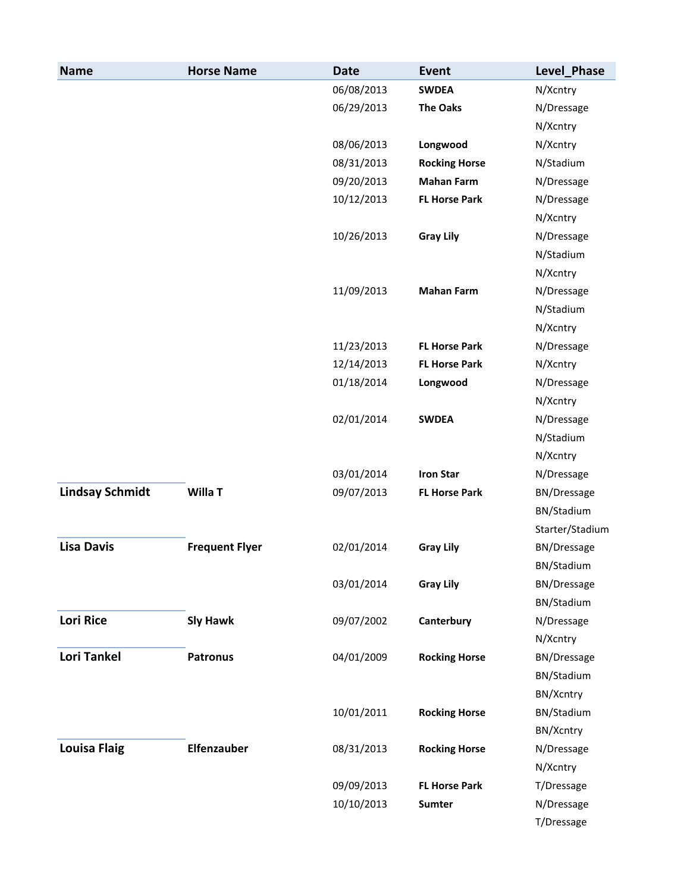| <b>Name</b>            | <b>Horse Name</b>     | <b>Date</b> | Event                | Level Phase        |
|------------------------|-----------------------|-------------|----------------------|--------------------|
|                        |                       | 06/08/2013  | <b>SWDEA</b>         | N/Xcntry           |
|                        |                       | 06/29/2013  | <b>The Oaks</b>      | N/Dressage         |
|                        |                       |             |                      | N/Xcntry           |
|                        |                       | 08/06/2013  | Longwood             | N/Xcntry           |
|                        |                       | 08/31/2013  | <b>Rocking Horse</b> | N/Stadium          |
|                        |                       | 09/20/2013  | <b>Mahan Farm</b>    | N/Dressage         |
|                        |                       | 10/12/2013  | <b>FL Horse Park</b> | N/Dressage         |
|                        |                       |             |                      | N/Xcntry           |
|                        |                       | 10/26/2013  | <b>Gray Lily</b>     | N/Dressage         |
|                        |                       |             |                      | N/Stadium          |
|                        |                       |             |                      | N/Xcntry           |
|                        |                       | 11/09/2013  | <b>Mahan Farm</b>    | N/Dressage         |
|                        |                       |             |                      | N/Stadium          |
|                        |                       |             |                      | N/Xcntry           |
|                        |                       | 11/23/2013  | <b>FL Horse Park</b> | N/Dressage         |
|                        |                       | 12/14/2013  | <b>FL Horse Park</b> | N/Xcntry           |
|                        |                       | 01/18/2014  | Longwood             | N/Dressage         |
|                        |                       |             |                      | N/Xcntry           |
|                        |                       | 02/01/2014  | <b>SWDEA</b>         | N/Dressage         |
|                        |                       |             |                      | N/Stadium          |
|                        |                       |             |                      | N/Xcntry           |
|                        |                       | 03/01/2014  | <b>Iron Star</b>     | N/Dressage         |
| <b>Lindsay Schmidt</b> | Willa T               | 09/07/2013  | <b>FL Horse Park</b> | BN/Dressage        |
|                        |                       |             |                      | BN/Stadium         |
|                        |                       |             |                      | Starter/Stadium    |
| <b>Lisa Davis</b>      | <b>Frequent Flyer</b> | 02/01/2014  | <b>Gray Lily</b>     | BN/Dressage        |
|                        |                       |             |                      | BN/Stadium         |
|                        |                       | 03/01/2014  | <b>Gray Lily</b>     | <b>BN/Dressage</b> |
|                        |                       |             |                      | BN/Stadium         |
| <b>Lori Rice</b>       | <b>Sly Hawk</b>       | 09/07/2002  | Canterbury           | N/Dressage         |
|                        |                       |             |                      | N/Xcntry           |
| <b>Lori Tankel</b>     | <b>Patronus</b>       | 04/01/2009  | <b>Rocking Horse</b> | <b>BN/Dressage</b> |
|                        |                       |             |                      | BN/Stadium         |
|                        |                       |             |                      | BN/Xcntry          |
|                        |                       | 10/01/2011  | <b>Rocking Horse</b> | BN/Stadium         |
|                        |                       |             |                      | BN/Xcntry          |
| <b>Louisa Flaig</b>    | Elfenzauber           | 08/31/2013  | <b>Rocking Horse</b> | N/Dressage         |
|                        |                       |             |                      | N/Xcntry           |
|                        |                       | 09/09/2013  | <b>FL Horse Park</b> | T/Dressage         |
|                        |                       | 10/10/2013  | Sumter               | N/Dressage         |
|                        |                       |             |                      | T/Dressage         |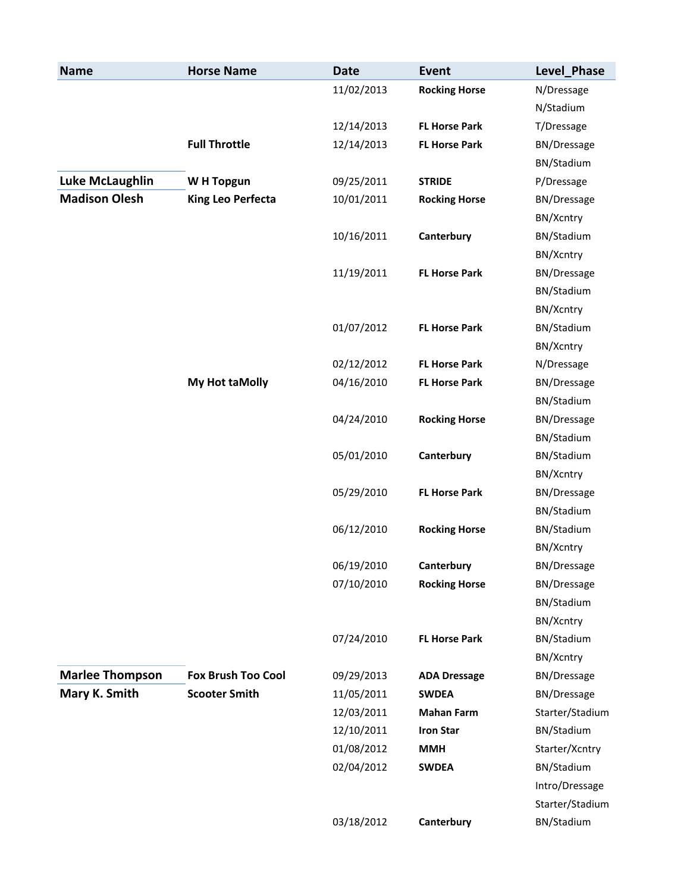| <b>Name</b>            | <b>Horse Name</b>         | <b>Date</b> | Event                | Level_Phase        |
|------------------------|---------------------------|-------------|----------------------|--------------------|
|                        |                           | 11/02/2013  | <b>Rocking Horse</b> | N/Dressage         |
|                        |                           |             |                      | N/Stadium          |
|                        |                           | 12/14/2013  | <b>FL Horse Park</b> | T/Dressage         |
|                        | <b>Full Throttle</b>      | 12/14/2013  | <b>FL Horse Park</b> | <b>BN/Dressage</b> |
|                        |                           |             |                      | BN/Stadium         |
| Luke McLaughlin        | W H Topgun                | 09/25/2011  | <b>STRIDE</b>        | P/Dressage         |
| <b>Madison Olesh</b>   | <b>King Leo Perfecta</b>  | 10/01/2011  | <b>Rocking Horse</b> | <b>BN/Dressage</b> |
|                        |                           |             |                      | BN/Xcntry          |
|                        |                           | 10/16/2011  | Canterbury           | BN/Stadium         |
|                        |                           |             |                      | BN/Xcntry          |
|                        |                           | 11/19/2011  | <b>FL Horse Park</b> | BN/Dressage        |
|                        |                           |             |                      | BN/Stadium         |
|                        |                           |             |                      | BN/Xcntry          |
|                        |                           | 01/07/2012  | <b>FL Horse Park</b> | BN/Stadium         |
|                        |                           |             |                      | BN/Xcntry          |
|                        |                           | 02/12/2012  | <b>FL Horse Park</b> | N/Dressage         |
|                        | My Hot taMolly            | 04/16/2010  | <b>FL Horse Park</b> | <b>BN/Dressage</b> |
|                        |                           |             |                      | BN/Stadium         |
|                        |                           | 04/24/2010  | <b>Rocking Horse</b> | <b>BN/Dressage</b> |
|                        |                           |             |                      | BN/Stadium         |
|                        |                           | 05/01/2010  | Canterbury           | BN/Stadium         |
|                        |                           |             |                      | BN/Xcntry          |
|                        |                           | 05/29/2010  | <b>FL Horse Park</b> | BN/Dressage        |
|                        |                           |             |                      | BN/Stadium         |
|                        |                           | 06/12/2010  | <b>Rocking Horse</b> | BN/Stadium         |
|                        |                           |             |                      | BN/Xcntry          |
|                        |                           | 06/19/2010  | Canterbury           | BN/Dressage        |
|                        |                           | 07/10/2010  | <b>Rocking Horse</b> | <b>BN/Dressage</b> |
|                        |                           |             |                      | BN/Stadium         |
|                        |                           |             |                      | BN/Xcntry          |
|                        |                           | 07/24/2010  | <b>FL Horse Park</b> | BN/Stadium         |
|                        |                           |             |                      | BN/Xcntry          |
| <b>Marlee Thompson</b> | <b>Fox Brush Too Cool</b> | 09/29/2013  | <b>ADA Dressage</b>  | <b>BN/Dressage</b> |
| Mary K. Smith          | <b>Scooter Smith</b>      | 11/05/2011  | <b>SWDEA</b>         | <b>BN/Dressage</b> |
|                        |                           | 12/03/2011  | <b>Mahan Farm</b>    | Starter/Stadium    |
|                        |                           | 12/10/2011  | <b>Iron Star</b>     | BN/Stadium         |
|                        |                           | 01/08/2012  | <b>MMH</b>           | Starter/Xcntry     |
|                        |                           | 02/04/2012  | <b>SWDEA</b>         | BN/Stadium         |
|                        |                           |             |                      | Intro/Dressage     |
|                        |                           |             |                      | Starter/Stadium    |
|                        |                           | 03/18/2012  | Canterbury           | BN/Stadium         |
|                        |                           |             |                      |                    |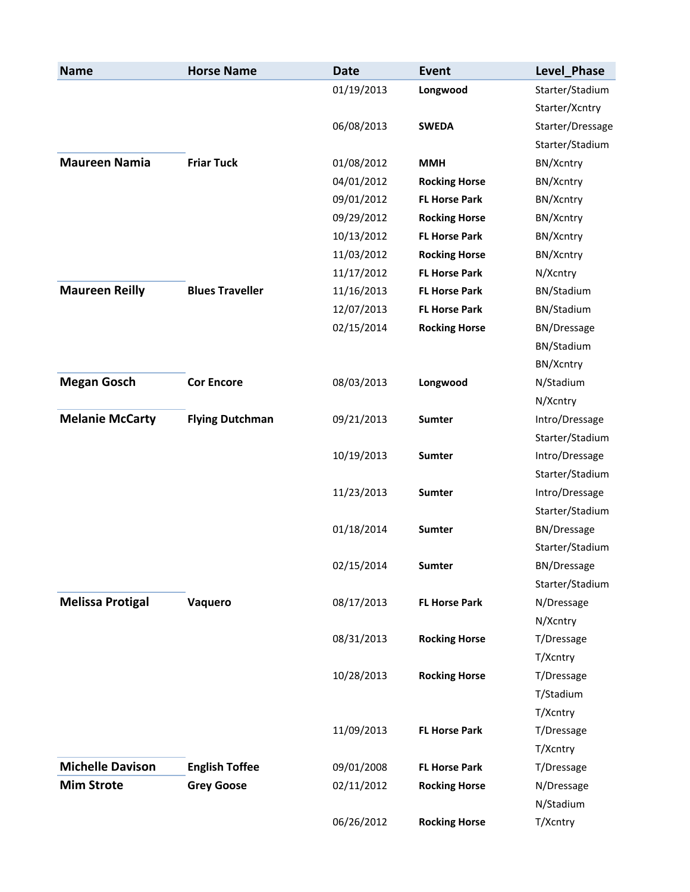| <b>Name</b>             | <b>Horse Name</b>      | <b>Date</b> | <b>Event</b>         | Level_Phase        |
|-------------------------|------------------------|-------------|----------------------|--------------------|
|                         |                        | 01/19/2013  | Longwood             | Starter/Stadium    |
|                         |                        |             |                      | Starter/Xcntry     |
|                         |                        | 06/08/2013  | <b>SWEDA</b>         | Starter/Dressage   |
|                         |                        |             |                      | Starter/Stadium    |
| <b>Maureen Namia</b>    | <b>Friar Tuck</b>      | 01/08/2012  | <b>MMH</b>           | BN/Xcntry          |
|                         |                        | 04/01/2012  | <b>Rocking Horse</b> | BN/Xcntry          |
|                         |                        | 09/01/2012  | <b>FL Horse Park</b> | BN/Xcntry          |
|                         |                        | 09/29/2012  | <b>Rocking Horse</b> | BN/Xcntry          |
|                         |                        | 10/13/2012  | <b>FL Horse Park</b> | BN/Xcntry          |
|                         |                        | 11/03/2012  | <b>Rocking Horse</b> | BN/Xcntry          |
|                         |                        | 11/17/2012  | <b>FL Horse Park</b> | N/Xcntry           |
| <b>Maureen Reilly</b>   | <b>Blues Traveller</b> | 11/16/2013  | <b>FL Horse Park</b> | BN/Stadium         |
|                         |                        | 12/07/2013  | <b>FL Horse Park</b> | BN/Stadium         |
|                         |                        | 02/15/2014  | <b>Rocking Horse</b> | <b>BN/Dressage</b> |
|                         |                        |             |                      | BN/Stadium         |
|                         |                        |             |                      | BN/Xcntry          |
| <b>Megan Gosch</b>      | <b>Cor Encore</b>      | 08/03/2013  | Longwood             | N/Stadium          |
|                         |                        |             |                      | N/Xcntry           |
| <b>Melanie McCarty</b>  | <b>Flying Dutchman</b> | 09/21/2013  | <b>Sumter</b>        | Intro/Dressage     |
|                         |                        |             |                      | Starter/Stadium    |
|                         |                        | 10/19/2013  | Sumter               | Intro/Dressage     |
|                         |                        |             |                      | Starter/Stadium    |
|                         |                        | 11/23/2013  | <b>Sumter</b>        | Intro/Dressage     |
|                         |                        |             |                      | Starter/Stadium    |
|                         |                        | 01/18/2014  | Sumter               | <b>BN/Dressage</b> |
|                         |                        |             |                      | Starter/Stadium    |
|                         |                        | 02/15/2014  | Sumter               | BN/Dressage        |
|                         |                        |             |                      | Starter/Stadium    |
| <b>Melissa Protigal</b> | Vaquero                | 08/17/2013  | <b>FL Horse Park</b> | N/Dressage         |
|                         |                        |             |                      | N/Xcntry           |
|                         |                        | 08/31/2013  | <b>Rocking Horse</b> | T/Dressage         |
|                         |                        |             |                      | T/Xcntry           |
|                         |                        | 10/28/2013  | <b>Rocking Horse</b> | T/Dressage         |
|                         |                        |             |                      | T/Stadium          |
|                         |                        |             |                      | T/Xcntry           |
|                         |                        | 11/09/2013  | <b>FL Horse Park</b> | T/Dressage         |
|                         |                        |             |                      | T/Xcntry           |
| <b>Michelle Davison</b> | <b>English Toffee</b>  | 09/01/2008  | <b>FL Horse Park</b> | T/Dressage         |
| <b>Mim Strote</b>       | <b>Grey Goose</b>      | 02/11/2012  | <b>Rocking Horse</b> | N/Dressage         |
|                         |                        |             |                      | N/Stadium          |
|                         |                        | 06/26/2012  | <b>Rocking Horse</b> | T/Xcntry           |
|                         |                        |             |                      |                    |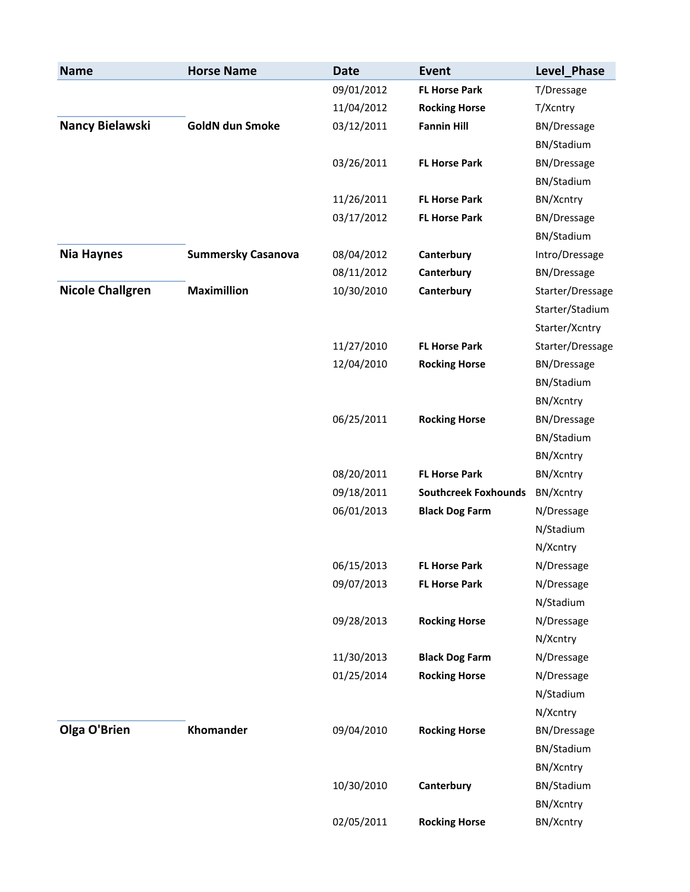| <b>Name</b>             | <b>Horse Name</b>         | <b>Date</b> | <b>Event</b>                | Level_Phase        |
|-------------------------|---------------------------|-------------|-----------------------------|--------------------|
|                         |                           | 09/01/2012  | <b>FL Horse Park</b>        | T/Dressage         |
|                         |                           | 11/04/2012  | <b>Rocking Horse</b>        | T/Xcntry           |
| Nancy Bielawski         | <b>GoldN dun Smoke</b>    | 03/12/2011  | <b>Fannin Hill</b>          | <b>BN/Dressage</b> |
|                         |                           |             |                             | BN/Stadium         |
|                         |                           | 03/26/2011  | <b>FL Horse Park</b>        | <b>BN/Dressage</b> |
|                         |                           |             |                             | BN/Stadium         |
|                         |                           | 11/26/2011  | <b>FL Horse Park</b>        | BN/Xcntry          |
|                         |                           | 03/17/2012  | <b>FL Horse Park</b>        | <b>BN/Dressage</b> |
|                         |                           |             |                             | BN/Stadium         |
| <b>Nia Haynes</b>       | <b>Summersky Casanova</b> | 08/04/2012  | Canterbury                  | Intro/Dressage     |
|                         |                           | 08/11/2012  | Canterbury                  | BN/Dressage        |
| <b>Nicole Challgren</b> | <b>Maximillion</b>        | 10/30/2010  | Canterbury                  | Starter/Dressage   |
|                         |                           |             |                             | Starter/Stadium    |
|                         |                           |             |                             | Starter/Xcntry     |
|                         |                           | 11/27/2010  | <b>FL Horse Park</b>        | Starter/Dressage   |
|                         |                           | 12/04/2010  | <b>Rocking Horse</b>        | <b>BN/Dressage</b> |
|                         |                           |             |                             | BN/Stadium         |
|                         |                           |             |                             | BN/Xcntry          |
|                         |                           | 06/25/2011  | <b>Rocking Horse</b>        | <b>BN/Dressage</b> |
|                         |                           |             |                             | BN/Stadium         |
|                         |                           |             |                             | BN/Xcntry          |
|                         |                           | 08/20/2011  | <b>FL Horse Park</b>        | BN/Xcntry          |
|                         |                           | 09/18/2011  | <b>Southcreek Foxhounds</b> | BN/Xcntry          |
|                         |                           | 06/01/2013  | <b>Black Dog Farm</b>       | N/Dressage         |
|                         |                           |             |                             | N/Stadium          |
|                         |                           |             |                             | N/Xcntry           |
|                         |                           | 06/15/2013  | <b>FL Horse Park</b>        | N/Dressage         |
|                         |                           | 09/07/2013  | <b>FL Horse Park</b>        | N/Dressage         |
|                         |                           |             |                             | N/Stadium          |
|                         |                           | 09/28/2013  | <b>Rocking Horse</b>        | N/Dressage         |
|                         |                           |             |                             | N/Xcntry           |
|                         |                           | 11/30/2013  | <b>Black Dog Farm</b>       | N/Dressage         |
|                         |                           | 01/25/2014  | <b>Rocking Horse</b>        | N/Dressage         |
|                         |                           |             |                             | N/Stadium          |
|                         |                           |             |                             | N/Xcntry           |
| Olga O'Brien            | Khomander                 | 09/04/2010  | <b>Rocking Horse</b>        | <b>BN/Dressage</b> |
|                         |                           |             |                             | BN/Stadium         |
|                         |                           |             |                             | BN/Xcntry          |
|                         |                           | 10/30/2010  | Canterbury                  | BN/Stadium         |
|                         |                           |             |                             | BN/Xcntry          |
|                         |                           | 02/05/2011  | <b>Rocking Horse</b>        | BN/Xcntry          |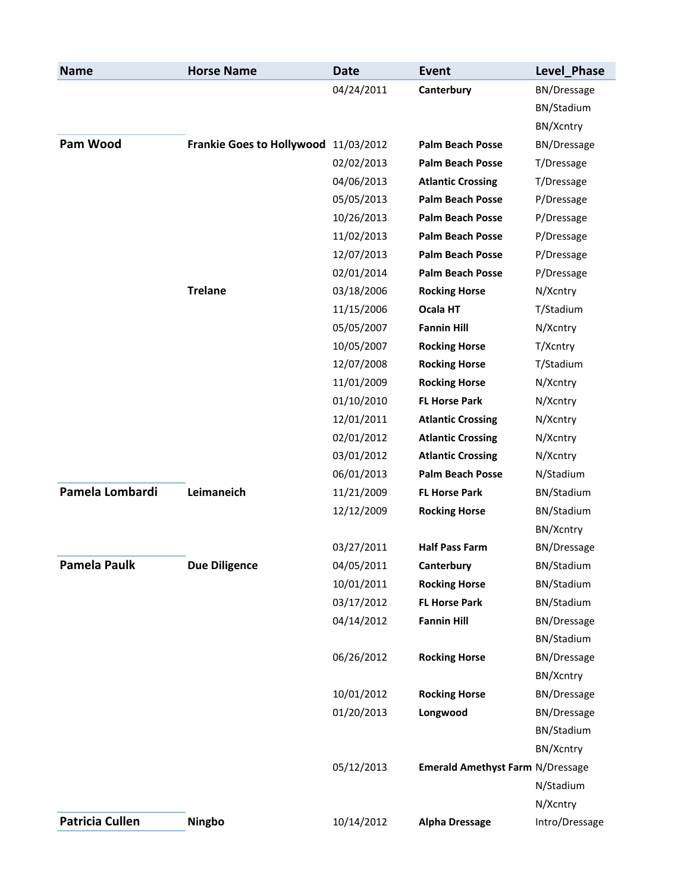| <b>Name</b>            | <b>Horse Name</b>                    | <b>Date</b> | Event                                   | Level Phase        |
|------------------------|--------------------------------------|-------------|-----------------------------------------|--------------------|
|                        |                                      | 04/24/2011  | Canterbury                              | <b>BN/Dressage</b> |
|                        |                                      |             |                                         | BN/Stadium         |
|                        |                                      |             |                                         | BN/Xcntry          |
| Pam Wood               | Frankie Goes to Hollywood 11/03/2012 |             | <b>Palm Beach Posse</b>                 | <b>BN/Dressage</b> |
|                        |                                      | 02/02/2013  | <b>Palm Beach Posse</b>                 | T/Dressage         |
|                        |                                      | 04/06/2013  | <b>Atlantic Crossing</b>                | T/Dressage         |
|                        |                                      | 05/05/2013  | <b>Palm Beach Posse</b>                 | P/Dressage         |
|                        |                                      | 10/26/2013  | <b>Palm Beach Posse</b>                 | P/Dressage         |
|                        |                                      | 11/02/2013  | <b>Palm Beach Posse</b>                 | P/Dressage         |
|                        |                                      | 12/07/2013  | <b>Palm Beach Posse</b>                 | P/Dressage         |
|                        |                                      | 02/01/2014  | <b>Palm Beach Posse</b>                 | P/Dressage         |
|                        | <b>Trelane</b>                       | 03/18/2006  | <b>Rocking Horse</b>                    | N/Xcntry           |
|                        |                                      | 11/15/2006  | Ocala HT                                | T/Stadium          |
|                        |                                      | 05/05/2007  | <b>Fannin Hill</b>                      | N/Xcntry           |
|                        |                                      | 10/05/2007  | <b>Rocking Horse</b>                    | T/Xcntry           |
|                        |                                      | 12/07/2008  | <b>Rocking Horse</b>                    | T/Stadium          |
|                        |                                      | 11/01/2009  | <b>Rocking Horse</b>                    | N/Xcntry           |
|                        |                                      | 01/10/2010  | <b>FL Horse Park</b>                    | N/Xcntry           |
|                        |                                      | 12/01/2011  | <b>Atlantic Crossing</b>                | N/Xcntry           |
|                        |                                      | 02/01/2012  | <b>Atlantic Crossing</b>                | N/Xcntry           |
|                        |                                      | 03/01/2012  | <b>Atlantic Crossing</b>                | N/Xcntry           |
|                        |                                      | 06/01/2013  | <b>Palm Beach Posse</b>                 | N/Stadium          |
| Pamela Lombardi        | Leimaneich                           | 11/21/2009  | <b>FL Horse Park</b>                    | BN/Stadium         |
|                        |                                      | 12/12/2009  | <b>Rocking Horse</b>                    | BN/Stadium         |
|                        |                                      |             |                                         | BN/Xcntry          |
|                        |                                      | 03/27/2011  | <b>Half Pass Farm</b>                   | BN/Dressage        |
| <b>Pamela Paulk</b>    | <b>Due Diligence</b>                 | 04/05/2011  | Canterbury                              | BN/Stadium         |
|                        |                                      | 10/01/2011  | <b>Rocking Horse</b>                    | BN/Stadium         |
|                        |                                      | 03/17/2012  | <b>FL Horse Park</b>                    | BN/Stadium         |
|                        |                                      | 04/14/2012  | <b>Fannin Hill</b>                      | <b>BN/Dressage</b> |
|                        |                                      |             |                                         | BN/Stadium         |
|                        |                                      | 06/26/2012  | <b>Rocking Horse</b>                    | <b>BN/Dressage</b> |
|                        |                                      |             |                                         | BN/Xcntry          |
|                        |                                      | 10/01/2012  | <b>Rocking Horse</b>                    | <b>BN/Dressage</b> |
|                        |                                      | 01/20/2013  | Longwood                                | <b>BN/Dressage</b> |
|                        |                                      |             |                                         | BN/Stadium         |
|                        |                                      |             |                                         | BN/Xcntry          |
|                        |                                      | 05/12/2013  | <b>Emerald Amethyst Farm N/Dressage</b> |                    |
|                        |                                      |             |                                         | N/Stadium          |
|                        |                                      |             |                                         | N/Xcntry           |
| <b>Patricia Cullen</b> | Ningbo                               | 10/14/2012  | <b>Alpha Dressage</b>                   | Intro/Dressage     |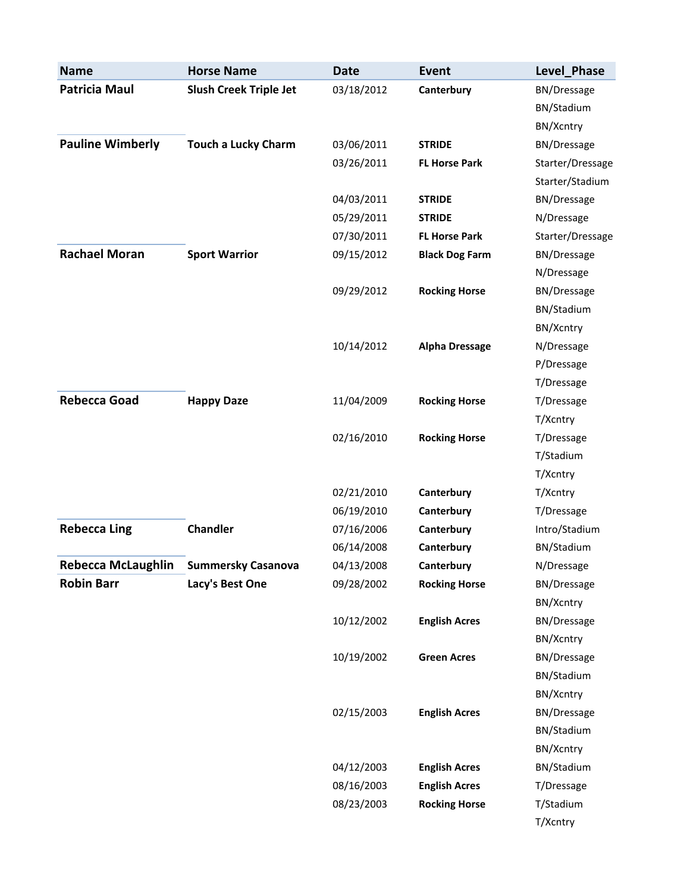| <b>Name</b>               | <b>Horse Name</b>             | <b>Date</b> | <b>Event</b>          | Level_Phase        |
|---------------------------|-------------------------------|-------------|-----------------------|--------------------|
| <b>Patricia Maul</b>      | <b>Slush Creek Triple Jet</b> | 03/18/2012  | Canterbury            | <b>BN/Dressage</b> |
|                           |                               |             |                       | BN/Stadium         |
|                           |                               |             |                       | BN/Xcntry          |
| <b>Pauline Wimberly</b>   | <b>Touch a Lucky Charm</b>    | 03/06/2011  | <b>STRIDE</b>         | <b>BN/Dressage</b> |
|                           |                               | 03/26/2011  | <b>FL Horse Park</b>  | Starter/Dressage   |
|                           |                               |             |                       | Starter/Stadium    |
|                           |                               | 04/03/2011  | <b>STRIDE</b>         | <b>BN/Dressage</b> |
|                           |                               | 05/29/2011  | <b>STRIDE</b>         | N/Dressage         |
|                           |                               | 07/30/2011  | <b>FL Horse Park</b>  | Starter/Dressage   |
| <b>Rachael Moran</b>      | <b>Sport Warrior</b>          | 09/15/2012  | <b>Black Dog Farm</b> | <b>BN/Dressage</b> |
|                           |                               |             |                       | N/Dressage         |
|                           |                               | 09/29/2012  | <b>Rocking Horse</b>  | <b>BN/Dressage</b> |
|                           |                               |             |                       | BN/Stadium         |
|                           |                               |             |                       | BN/Xcntry          |
|                           |                               | 10/14/2012  | <b>Alpha Dressage</b> | N/Dressage         |
|                           |                               |             |                       | P/Dressage         |
|                           |                               |             |                       | T/Dressage         |
| <b>Rebecca Goad</b>       | <b>Happy Daze</b>             | 11/04/2009  | <b>Rocking Horse</b>  | T/Dressage         |
|                           |                               |             |                       | T/Xcntry           |
|                           |                               | 02/16/2010  | <b>Rocking Horse</b>  | T/Dressage         |
|                           |                               |             |                       | T/Stadium          |
|                           |                               |             |                       | T/Xcntry           |
|                           |                               | 02/21/2010  | Canterbury            | T/Xcntry           |
|                           |                               | 06/19/2010  | Canterbury            | T/Dressage         |
| <b>Rebecca Ling</b>       | <b>Chandler</b>               | 07/16/2006  | Canterbury            | Intro/Stadium      |
|                           |                               | 06/14/2008  | Canterbury            | BN/Stadium         |
| <b>Rebecca McLaughlin</b> | <b>Summersky Casanova</b>     | 04/13/2008  | Canterbury            | N/Dressage         |
| <b>Robin Barr</b>         | Lacy's Best One               | 09/28/2002  | <b>Rocking Horse</b>  | <b>BN/Dressage</b> |
|                           |                               |             |                       | BN/Xcntry          |
|                           |                               | 10/12/2002  | <b>English Acres</b>  | <b>BN/Dressage</b> |
|                           |                               |             |                       | BN/Xcntry          |
|                           |                               | 10/19/2002  | <b>Green Acres</b>    | BN/Dressage        |
|                           |                               |             |                       | BN/Stadium         |
|                           |                               |             |                       | BN/Xcntry          |
|                           |                               | 02/15/2003  | <b>English Acres</b>  | <b>BN/Dressage</b> |
|                           |                               |             |                       | BN/Stadium         |
|                           |                               |             |                       | BN/Xcntry          |
|                           |                               | 04/12/2003  | <b>English Acres</b>  | BN/Stadium         |
|                           |                               | 08/16/2003  | <b>English Acres</b>  | T/Dressage         |
|                           |                               | 08/23/2003  | <b>Rocking Horse</b>  | T/Stadium          |
|                           |                               |             |                       | T/Xcntry           |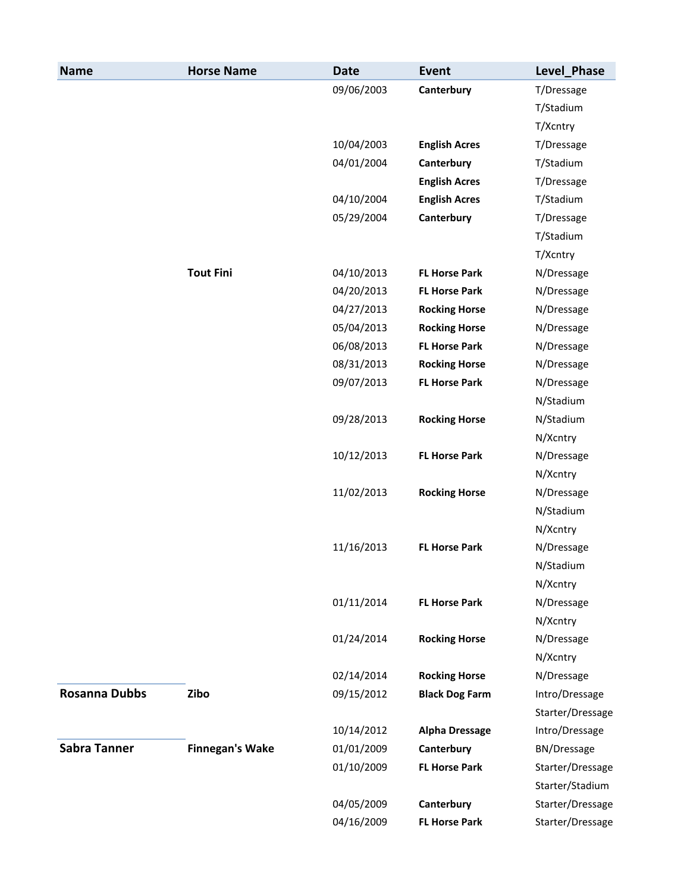| <b>Name</b>          | <b>Horse Name</b>      | <b>Date</b> | <b>Event</b>          | Level_Phase        |
|----------------------|------------------------|-------------|-----------------------|--------------------|
|                      |                        | 09/06/2003  | Canterbury            | T/Dressage         |
|                      |                        |             |                       | T/Stadium          |
|                      |                        |             |                       | T/Xcntry           |
|                      |                        | 10/04/2003  | <b>English Acres</b>  | T/Dressage         |
|                      |                        | 04/01/2004  | Canterbury            | T/Stadium          |
|                      |                        |             | <b>English Acres</b>  | T/Dressage         |
|                      |                        | 04/10/2004  | <b>English Acres</b>  | T/Stadium          |
|                      |                        | 05/29/2004  | Canterbury            | T/Dressage         |
|                      |                        |             |                       | T/Stadium          |
|                      |                        |             |                       | T/Xcntry           |
|                      | <b>Tout Fini</b>       | 04/10/2013  | <b>FL Horse Park</b>  | N/Dressage         |
|                      |                        | 04/20/2013  | <b>FL Horse Park</b>  | N/Dressage         |
|                      |                        | 04/27/2013  | <b>Rocking Horse</b>  | N/Dressage         |
|                      |                        | 05/04/2013  | <b>Rocking Horse</b>  | N/Dressage         |
|                      |                        | 06/08/2013  | <b>FL Horse Park</b>  | N/Dressage         |
|                      |                        | 08/31/2013  | <b>Rocking Horse</b>  | N/Dressage         |
|                      |                        | 09/07/2013  | <b>FL Horse Park</b>  | N/Dressage         |
|                      |                        |             |                       | N/Stadium          |
|                      |                        | 09/28/2013  | <b>Rocking Horse</b>  | N/Stadium          |
|                      |                        |             |                       | N/Xcntry           |
|                      |                        | 10/12/2013  | <b>FL Horse Park</b>  | N/Dressage         |
|                      |                        |             |                       | N/Xcntry           |
|                      |                        | 11/02/2013  | <b>Rocking Horse</b>  | N/Dressage         |
|                      |                        |             |                       | N/Stadium          |
|                      |                        |             |                       | N/Xcntry           |
|                      |                        | 11/16/2013  | <b>FL Horse Park</b>  | N/Dressage         |
|                      |                        |             |                       | N/Stadium          |
|                      |                        |             |                       | N/Xcntry           |
|                      |                        | 01/11/2014  | <b>FL Horse Park</b>  | N/Dressage         |
|                      |                        |             |                       | N/Xcntry           |
|                      |                        | 01/24/2014  | <b>Rocking Horse</b>  | N/Dressage         |
|                      |                        |             |                       | N/Xcntry           |
|                      |                        | 02/14/2014  | <b>Rocking Horse</b>  | N/Dressage         |
| <b>Rosanna Dubbs</b> | Zibo                   | 09/15/2012  | <b>Black Dog Farm</b> | Intro/Dressage     |
|                      |                        |             |                       | Starter/Dressage   |
|                      |                        | 10/14/2012  | <b>Alpha Dressage</b> | Intro/Dressage     |
| <b>Sabra Tanner</b>  | <b>Finnegan's Wake</b> | 01/01/2009  | Canterbury            | <b>BN/Dressage</b> |
|                      |                        | 01/10/2009  | <b>FL Horse Park</b>  | Starter/Dressage   |
|                      |                        |             |                       | Starter/Stadium    |
|                      |                        | 04/05/2009  | Canterbury            | Starter/Dressage   |
|                      |                        | 04/16/2009  | <b>FL Horse Park</b>  | Starter/Dressage   |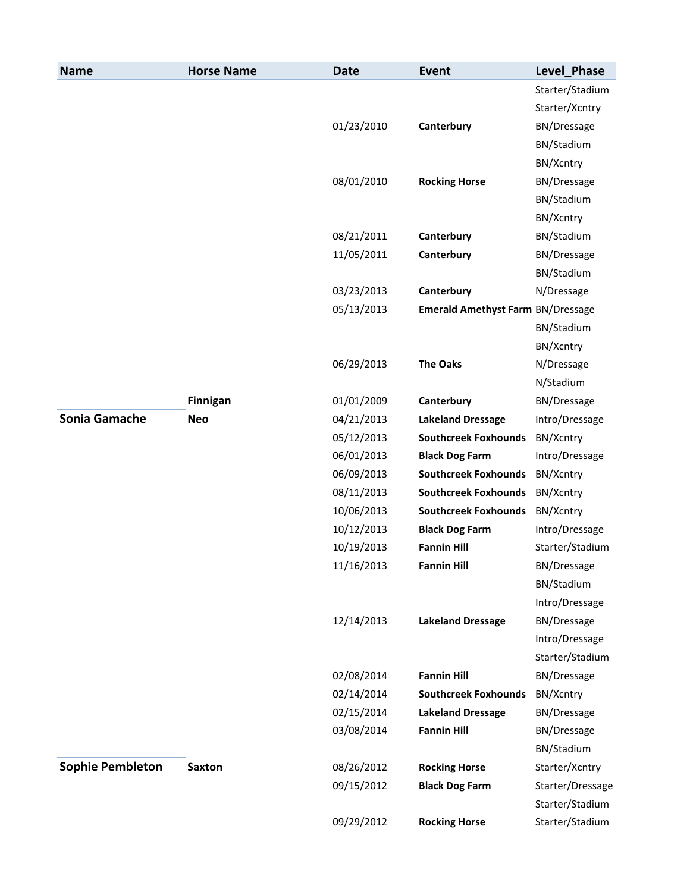| <b>Name</b>             | <b>Horse Name</b> | <b>Date</b> | <b>Event</b>                             | Level_Phase        |
|-------------------------|-------------------|-------------|------------------------------------------|--------------------|
|                         |                   |             |                                          | Starter/Stadium    |
|                         |                   |             |                                          | Starter/Xcntry     |
|                         |                   | 01/23/2010  | Canterbury                               | BN/Dressage        |
|                         |                   |             |                                          | BN/Stadium         |
|                         |                   |             |                                          | BN/Xcntry          |
|                         |                   | 08/01/2010  | <b>Rocking Horse</b>                     | <b>BN/Dressage</b> |
|                         |                   |             |                                          | BN/Stadium         |
|                         |                   |             |                                          | BN/Xcntry          |
|                         |                   | 08/21/2011  | Canterbury                               | BN/Stadium         |
|                         |                   | 11/05/2011  | Canterbury                               | <b>BN/Dressage</b> |
|                         |                   |             |                                          | BN/Stadium         |
|                         |                   | 03/23/2013  | Canterbury                               | N/Dressage         |
|                         |                   | 05/13/2013  | <b>Emerald Amethyst Farm BN/Dressage</b> |                    |
|                         |                   |             |                                          | BN/Stadium         |
|                         |                   |             |                                          | BN/Xcntry          |
|                         |                   | 06/29/2013  | <b>The Oaks</b>                          | N/Dressage         |
|                         |                   |             |                                          | N/Stadium          |
|                         | <b>Finnigan</b>   | 01/01/2009  | Canterbury                               | <b>BN/Dressage</b> |
| <b>Sonia Gamache</b>    | <b>Neo</b>        | 04/21/2013  | <b>Lakeland Dressage</b>                 | Intro/Dressage     |
|                         |                   | 05/12/2013  | <b>Southcreek Foxhounds</b>              | BN/Xcntry          |
|                         |                   | 06/01/2013  | <b>Black Dog Farm</b>                    | Intro/Dressage     |
|                         |                   | 06/09/2013  | <b>Southcreek Foxhounds</b>              | BN/Xcntry          |
|                         |                   | 08/11/2013  | <b>Southcreek Foxhounds</b>              | BN/Xcntry          |
|                         |                   | 10/06/2013  | <b>Southcreek Foxhounds</b>              | BN/Xcntry          |
|                         |                   | 10/12/2013  | <b>Black Dog Farm</b>                    | Intro/Dressage     |
|                         |                   | 10/19/2013  | <b>Fannin Hill</b>                       | Starter/Stadium    |
|                         |                   | 11/16/2013  | <b>Fannin Hill</b>                       | BN/Dressage        |
|                         |                   |             |                                          | BN/Stadium         |
|                         |                   |             |                                          | Intro/Dressage     |
|                         |                   | 12/14/2013  | <b>Lakeland Dressage</b>                 | BN/Dressage        |
|                         |                   |             |                                          | Intro/Dressage     |
|                         |                   |             |                                          | Starter/Stadium    |
|                         |                   | 02/08/2014  | <b>Fannin Hill</b>                       | <b>BN/Dressage</b> |
|                         |                   | 02/14/2014  | <b>Southcreek Foxhounds</b>              | BN/Xcntry          |
|                         |                   | 02/15/2014  | <b>Lakeland Dressage</b>                 | <b>BN/Dressage</b> |
|                         |                   | 03/08/2014  | <b>Fannin Hill</b>                       | <b>BN/Dressage</b> |
|                         |                   |             |                                          | BN/Stadium         |
| <b>Sophie Pembleton</b> | <b>Saxton</b>     | 08/26/2012  | <b>Rocking Horse</b>                     | Starter/Xcntry     |
|                         |                   | 09/15/2012  | <b>Black Dog Farm</b>                    | Starter/Dressage   |
|                         |                   |             |                                          | Starter/Stadium    |
|                         |                   | 09/29/2012  | <b>Rocking Horse</b>                     | Starter/Stadium    |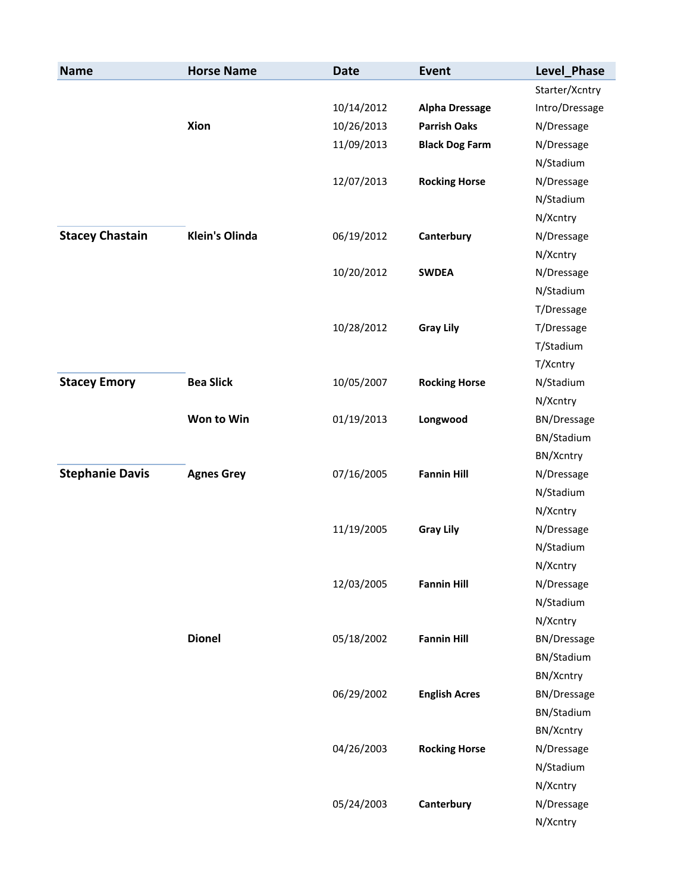| <b>Name</b>            | <b>Horse Name</b>     | <b>Date</b> | <b>Event</b>          | Level_Phase    |
|------------------------|-----------------------|-------------|-----------------------|----------------|
|                        |                       |             |                       | Starter/Xcntry |
|                        |                       | 10/14/2012  | <b>Alpha Dressage</b> | Intro/Dressage |
|                        | Xion                  | 10/26/2013  | <b>Parrish Oaks</b>   | N/Dressage     |
|                        |                       | 11/09/2013  | <b>Black Dog Farm</b> | N/Dressage     |
|                        |                       |             |                       | N/Stadium      |
|                        |                       | 12/07/2013  | <b>Rocking Horse</b>  | N/Dressage     |
|                        |                       |             |                       | N/Stadium      |
|                        |                       |             |                       | N/Xcntry       |
| <b>Stacey Chastain</b> | <b>Klein's Olinda</b> | 06/19/2012  | Canterbury            | N/Dressage     |
|                        |                       |             |                       | N/Xcntry       |
|                        |                       | 10/20/2012  | <b>SWDEA</b>          | N/Dressage     |
|                        |                       |             |                       | N/Stadium      |
|                        |                       |             |                       | T/Dressage     |
|                        |                       | 10/28/2012  | <b>Gray Lily</b>      | T/Dressage     |
|                        |                       |             |                       | T/Stadium      |
|                        |                       |             |                       | T/Xcntry       |
| <b>Stacey Emory</b>    | <b>Bea Slick</b>      | 10/05/2007  | <b>Rocking Horse</b>  | N/Stadium      |
|                        |                       |             |                       | N/Xcntry       |
|                        | Won to Win            | 01/19/2013  | Longwood              | BN/Dressage    |
|                        |                       |             |                       | BN/Stadium     |
|                        |                       |             |                       | BN/Xcntry      |
| <b>Stephanie Davis</b> | <b>Agnes Grey</b>     | 07/16/2005  | <b>Fannin Hill</b>    | N/Dressage     |
|                        |                       |             |                       | N/Stadium      |
|                        |                       |             |                       | N/Xcntry       |
|                        |                       | 11/19/2005  | <b>Gray Lily</b>      | N/Dressage     |
|                        |                       |             |                       | N/Stadium      |
|                        |                       |             |                       | N/Xcntry       |
|                        |                       | 12/03/2005  | <b>Fannin Hill</b>    | N/Dressage     |
|                        |                       |             |                       | N/Stadium      |
|                        |                       |             |                       | N/Xcntry       |
|                        | <b>Dionel</b>         | 05/18/2002  | <b>Fannin Hill</b>    | BN/Dressage    |
|                        |                       |             |                       | BN/Stadium     |
|                        |                       |             |                       | BN/Xcntry      |
|                        |                       | 06/29/2002  | <b>English Acres</b>  | BN/Dressage    |
|                        |                       |             |                       | BN/Stadium     |
|                        |                       |             |                       | BN/Xcntry      |
|                        |                       | 04/26/2003  | <b>Rocking Horse</b>  | N/Dressage     |
|                        |                       |             |                       | N/Stadium      |
|                        |                       |             |                       | N/Xcntry       |
|                        |                       | 05/24/2003  | Canterbury            | N/Dressage     |
|                        |                       |             |                       | N/Xcntry       |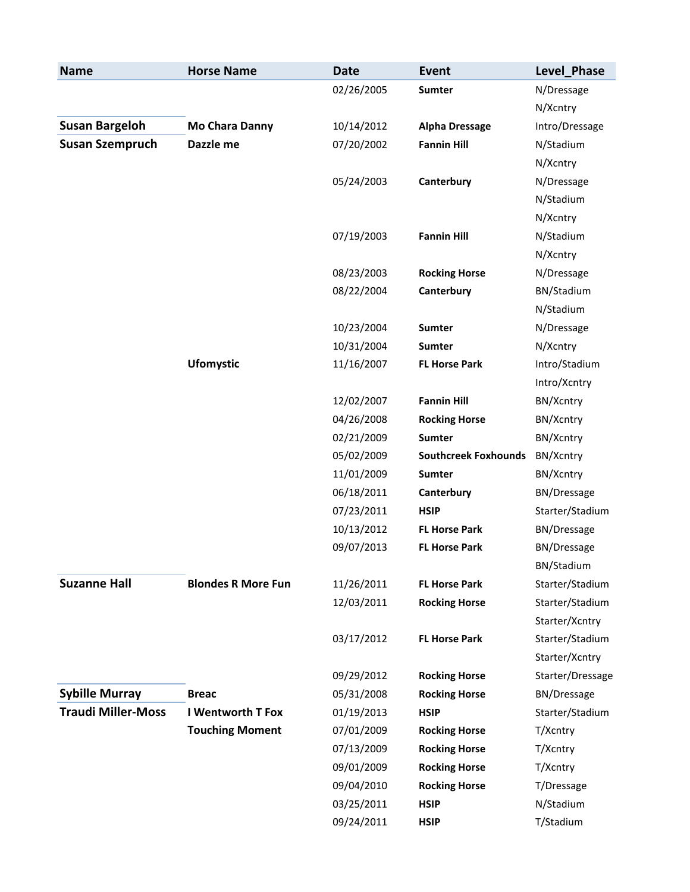| <b>Name</b>               | <b>Horse Name</b>         | <b>Date</b> | <b>Event</b>                | Level_Phase        |
|---------------------------|---------------------------|-------------|-----------------------------|--------------------|
|                           |                           | 02/26/2005  | Sumter                      | N/Dressage         |
|                           |                           |             |                             | N/Xcntry           |
| <b>Susan Bargeloh</b>     | <b>Mo Chara Danny</b>     | 10/14/2012  | <b>Alpha Dressage</b>       | Intro/Dressage     |
| <b>Susan Szempruch</b>    | Dazzle me                 | 07/20/2002  | <b>Fannin Hill</b>          | N/Stadium          |
|                           |                           |             |                             | N/Xcntry           |
|                           |                           | 05/24/2003  | Canterbury                  | N/Dressage         |
|                           |                           |             |                             | N/Stadium          |
|                           |                           |             |                             | N/Xcntry           |
|                           |                           | 07/19/2003  | <b>Fannin Hill</b>          | N/Stadium          |
|                           |                           |             |                             | N/Xcntry           |
|                           |                           | 08/23/2003  | <b>Rocking Horse</b>        | N/Dressage         |
|                           |                           | 08/22/2004  | Canterbury                  | BN/Stadium         |
|                           |                           |             |                             | N/Stadium          |
|                           |                           | 10/23/2004  | Sumter                      | N/Dressage         |
|                           |                           | 10/31/2004  | Sumter                      | N/Xcntry           |
|                           | <b>Ufomystic</b>          | 11/16/2007  | <b>FL Horse Park</b>        | Intro/Stadium      |
|                           |                           |             |                             | Intro/Xcntry       |
|                           |                           | 12/02/2007  | <b>Fannin Hill</b>          | BN/Xcntry          |
|                           |                           | 04/26/2008  | <b>Rocking Horse</b>        | BN/Xcntry          |
|                           |                           | 02/21/2009  | Sumter                      | BN/Xcntry          |
|                           |                           | 05/02/2009  | <b>Southcreek Foxhounds</b> | BN/Xcntry          |
|                           |                           | 11/01/2009  | <b>Sumter</b>               | BN/Xcntry          |
|                           |                           | 06/18/2011  | Canterbury                  | <b>BN/Dressage</b> |
|                           |                           | 07/23/2011  | <b>HSIP</b>                 | Starter/Stadium    |
|                           |                           | 10/13/2012  | <b>FL Horse Park</b>        | <b>BN/Dressage</b> |
|                           |                           | 09/07/2013  | <b>FL Horse Park</b>        | <b>BN/Dressage</b> |
|                           |                           |             |                             | BN/Stadium         |
| <b>Suzanne Hall</b>       | <b>Blondes R More Fun</b> | 11/26/2011  | <b>FL Horse Park</b>        | Starter/Stadium    |
|                           |                           | 12/03/2011  | <b>Rocking Horse</b>        | Starter/Stadium    |
|                           |                           |             |                             | Starter/Xcntry     |
|                           |                           | 03/17/2012  | <b>FL Horse Park</b>        | Starter/Stadium    |
|                           |                           |             |                             | Starter/Xcntry     |
|                           |                           | 09/29/2012  | <b>Rocking Horse</b>        | Starter/Dressage   |
| <b>Sybille Murray</b>     | <b>Breac</b>              | 05/31/2008  | <b>Rocking Horse</b>        | <b>BN/Dressage</b> |
| <b>Traudi Miller-Moss</b> | <b>I Wentworth T Fox</b>  | 01/19/2013  | <b>HSIP</b>                 | Starter/Stadium    |
|                           | <b>Touching Moment</b>    | 07/01/2009  | <b>Rocking Horse</b>        | T/Xcntry           |
|                           |                           | 07/13/2009  | <b>Rocking Horse</b>        | T/Xcntry           |
|                           |                           | 09/01/2009  | <b>Rocking Horse</b>        | T/Xcntry           |
|                           |                           | 09/04/2010  | <b>Rocking Horse</b>        | T/Dressage         |
|                           |                           | 03/25/2011  | <b>HSIP</b>                 | N/Stadium          |
|                           |                           | 09/24/2011  | <b>HSIP</b>                 | T/Stadium          |
|                           |                           |             |                             |                    |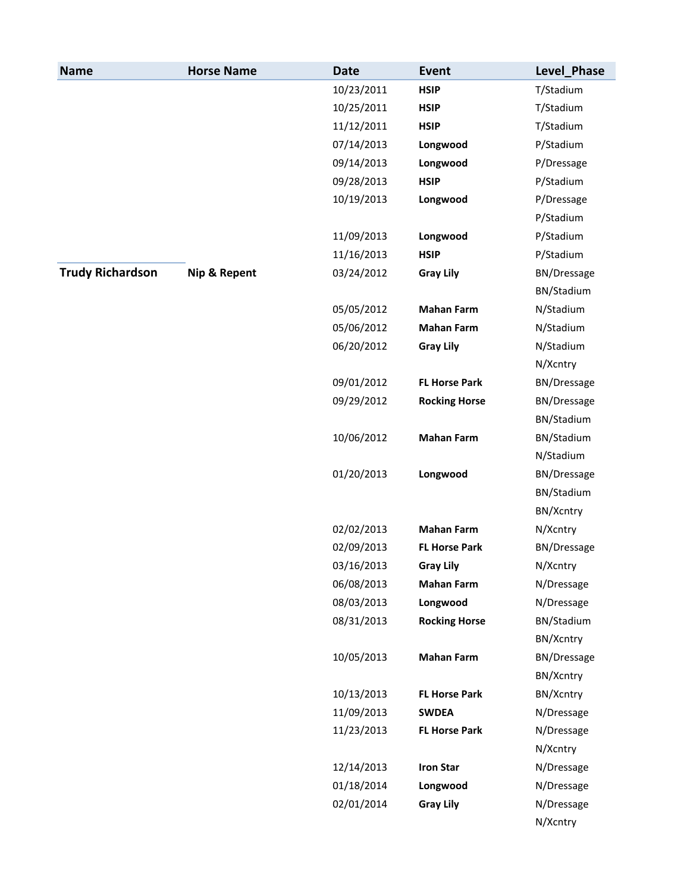| <b>Name</b>             | <b>Horse Name</b> | <b>Date</b> | Event                | Level_Phase        |
|-------------------------|-------------------|-------------|----------------------|--------------------|
|                         |                   | 10/23/2011  | <b>HSIP</b>          | T/Stadium          |
|                         |                   | 10/25/2011  | <b>HSIP</b>          | T/Stadium          |
|                         |                   | 11/12/2011  | <b>HSIP</b>          | T/Stadium          |
|                         |                   | 07/14/2013  | Longwood             | P/Stadium          |
|                         |                   | 09/14/2013  | Longwood             | P/Dressage         |
|                         |                   | 09/28/2013  | <b>HSIP</b>          | P/Stadium          |
|                         |                   | 10/19/2013  | Longwood             | P/Dressage         |
|                         |                   |             |                      | P/Stadium          |
|                         |                   | 11/09/2013  | Longwood             | P/Stadium          |
|                         |                   | 11/16/2013  | <b>HSIP</b>          | P/Stadium          |
| <b>Trudy Richardson</b> | Nip & Repent      | 03/24/2012  | <b>Gray Lily</b>     | <b>BN/Dressage</b> |
|                         |                   |             |                      | BN/Stadium         |
|                         |                   | 05/05/2012  | <b>Mahan Farm</b>    | N/Stadium          |
|                         |                   | 05/06/2012  | <b>Mahan Farm</b>    | N/Stadium          |
|                         |                   | 06/20/2012  | <b>Gray Lily</b>     | N/Stadium          |
|                         |                   |             |                      | N/Xcntry           |
|                         |                   | 09/01/2012  | <b>FL Horse Park</b> | <b>BN/Dressage</b> |
|                         |                   | 09/29/2012  | <b>Rocking Horse</b> | <b>BN/Dressage</b> |
|                         |                   |             |                      | BN/Stadium         |
|                         |                   | 10/06/2012  | <b>Mahan Farm</b>    | BN/Stadium         |
|                         |                   |             |                      | N/Stadium          |
|                         |                   | 01/20/2013  | Longwood             | BN/Dressage        |
|                         |                   |             |                      | BN/Stadium         |
|                         |                   |             |                      | BN/Xcntry          |
|                         |                   | 02/02/2013  | <b>Mahan Farm</b>    | N/Xcntry           |
|                         |                   | 02/09/2013  | <b>FL Horse Park</b> | <b>BN/Dressage</b> |
|                         |                   | 03/16/2013  | <b>Gray Lily</b>     | N/Xcntry           |
|                         |                   | 06/08/2013  | <b>Mahan Farm</b>    | N/Dressage         |
|                         |                   | 08/03/2013  | Longwood             | N/Dressage         |
|                         |                   | 08/31/2013  | <b>Rocking Horse</b> | BN/Stadium         |
|                         |                   |             |                      | BN/Xcntry          |
|                         |                   | 10/05/2013  | <b>Mahan Farm</b>    | <b>BN/Dressage</b> |
|                         |                   |             |                      | BN/Xcntry          |
|                         |                   | 10/13/2013  | <b>FL Horse Park</b> | BN/Xcntry          |
|                         |                   | 11/09/2013  | <b>SWDEA</b>         | N/Dressage         |
|                         |                   | 11/23/2013  | <b>FL Horse Park</b> | N/Dressage         |
|                         |                   |             |                      | N/Xcntry           |
|                         |                   | 12/14/2013  | <b>Iron Star</b>     | N/Dressage         |
|                         |                   | 01/18/2014  | Longwood             | N/Dressage         |
|                         |                   | 02/01/2014  | <b>Gray Lily</b>     | N/Dressage         |
|                         |                   |             |                      | N/Xcntry           |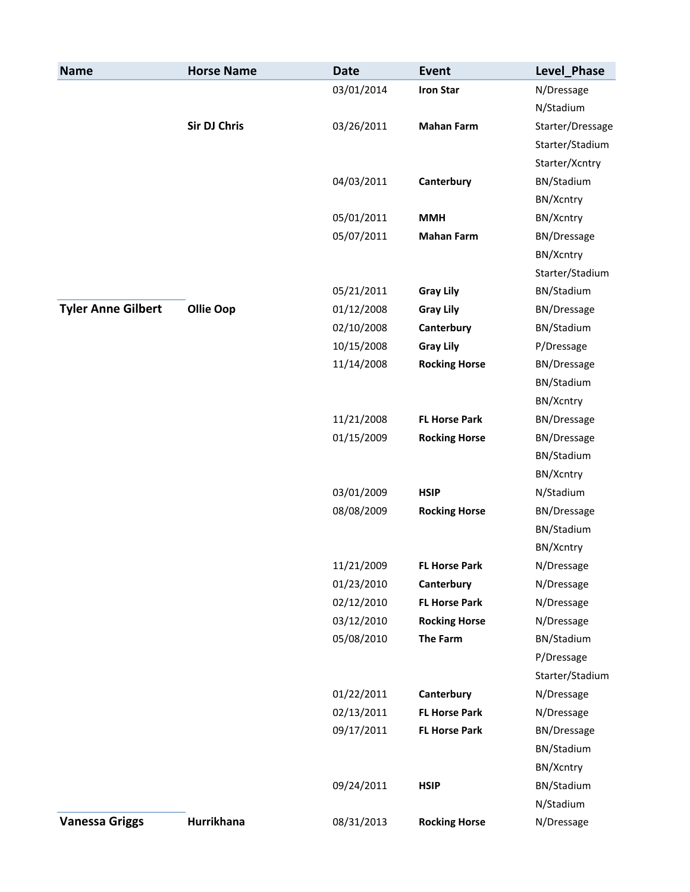| <b>Name</b>               | <b>Horse Name</b>   | <b>Date</b> | <b>Event</b>         | Level_Phase        |
|---------------------------|---------------------|-------------|----------------------|--------------------|
|                           |                     | 03/01/2014  | <b>Iron Star</b>     | N/Dressage         |
|                           |                     |             |                      | N/Stadium          |
|                           | <b>Sir DJ Chris</b> | 03/26/2011  | <b>Mahan Farm</b>    | Starter/Dressage   |
|                           |                     |             |                      | Starter/Stadium    |
|                           |                     |             |                      | Starter/Xcntry     |
|                           |                     | 04/03/2011  | Canterbury           | BN/Stadium         |
|                           |                     |             |                      | BN/Xcntry          |
|                           |                     | 05/01/2011  | <b>MMH</b>           | BN/Xcntry          |
|                           |                     | 05/07/2011  | <b>Mahan Farm</b>    | BN/Dressage        |
|                           |                     |             |                      | BN/Xcntry          |
|                           |                     |             |                      | Starter/Stadium    |
|                           |                     | 05/21/2011  | <b>Gray Lily</b>     | BN/Stadium         |
| <b>Tyler Anne Gilbert</b> | <b>Ollie Oop</b>    | 01/12/2008  | <b>Gray Lily</b>     | BN/Dressage        |
|                           |                     | 02/10/2008  | Canterbury           | BN/Stadium         |
|                           |                     | 10/15/2008  | <b>Gray Lily</b>     | P/Dressage         |
|                           |                     | 11/14/2008  | <b>Rocking Horse</b> | BN/Dressage        |
|                           |                     |             |                      | BN/Stadium         |
|                           |                     |             |                      | BN/Xcntry          |
|                           |                     | 11/21/2008  | <b>FL Horse Park</b> | <b>BN/Dressage</b> |
|                           |                     | 01/15/2009  | <b>Rocking Horse</b> | BN/Dressage        |
|                           |                     |             |                      | BN/Stadium         |
|                           |                     |             |                      | BN/Xcntry          |
|                           |                     | 03/01/2009  | <b>HSIP</b>          | N/Stadium          |
|                           |                     | 08/08/2009  | <b>Rocking Horse</b> | BN/Dressage        |
|                           |                     |             |                      | BN/Stadium         |
|                           |                     |             |                      | BN/Xcntry          |
|                           |                     | 11/21/2009  | <b>FL Horse Park</b> | N/Dressage         |
|                           |                     | 01/23/2010  | Canterbury           | N/Dressage         |
|                           |                     | 02/12/2010  | <b>FL Horse Park</b> | N/Dressage         |
|                           |                     | 03/12/2010  | <b>Rocking Horse</b> | N/Dressage         |
|                           |                     | 05/08/2010  | <b>The Farm</b>      | BN/Stadium         |
|                           |                     |             |                      | P/Dressage         |
|                           |                     |             |                      | Starter/Stadium    |
|                           |                     | 01/22/2011  | Canterbury           | N/Dressage         |
|                           |                     | 02/13/2011  | <b>FL Horse Park</b> | N/Dressage         |
|                           |                     | 09/17/2011  | <b>FL Horse Park</b> | <b>BN/Dressage</b> |
|                           |                     |             |                      | BN/Stadium         |
|                           |                     |             |                      | BN/Xcntry          |
|                           |                     | 09/24/2011  | <b>HSIP</b>          | BN/Stadium         |
|                           |                     |             |                      | N/Stadium          |
| <b>Vanessa Griggs</b>     | Hurrikhana          | 08/31/2013  | <b>Rocking Horse</b> | N/Dressage         |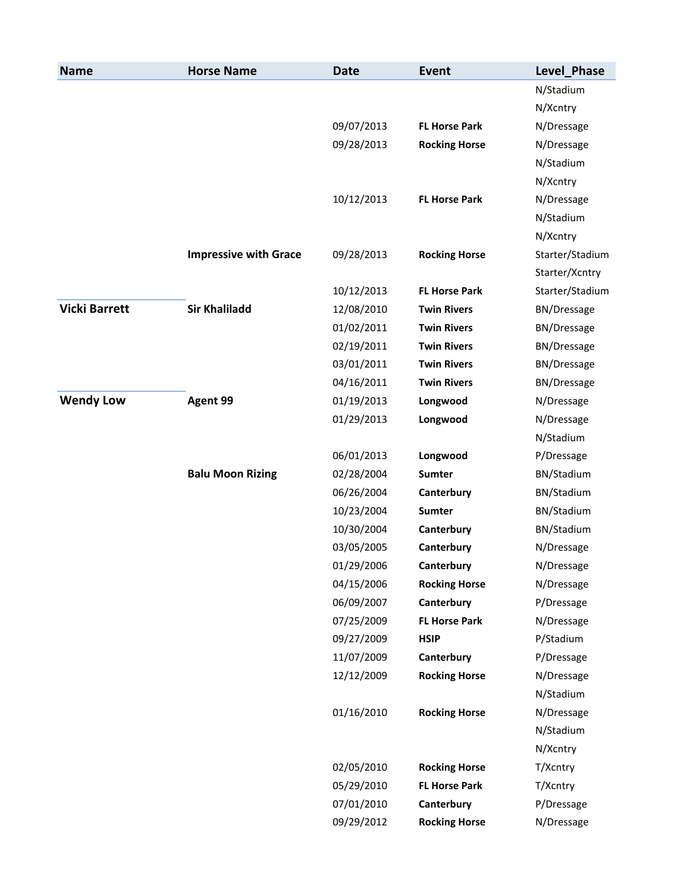| <b>Name</b>          | <b>Horse Name</b>            | <b>Date</b> | Event                | Level_Phase        |
|----------------------|------------------------------|-------------|----------------------|--------------------|
|                      |                              |             |                      | N/Stadium          |
|                      |                              |             |                      | N/Xcntry           |
|                      |                              | 09/07/2013  | <b>FL Horse Park</b> | N/Dressage         |
|                      |                              | 09/28/2013  | <b>Rocking Horse</b> | N/Dressage         |
|                      |                              |             |                      | N/Stadium          |
|                      |                              |             |                      | N/Xcntry           |
|                      |                              | 10/12/2013  | <b>FL Horse Park</b> | N/Dressage         |
|                      |                              |             |                      | N/Stadium          |
|                      |                              |             |                      | N/Xcntry           |
|                      | <b>Impressive with Grace</b> | 09/28/2013  | <b>Rocking Horse</b> | Starter/Stadium    |
|                      |                              |             |                      | Starter/Xcntry     |
|                      |                              | 10/12/2013  | <b>FL Horse Park</b> | Starter/Stadium    |
| <b>Vicki Barrett</b> | <b>Sir Khaliladd</b>         | 12/08/2010  | <b>Twin Rivers</b>   | BN/Dressage        |
|                      |                              | 01/02/2011  | <b>Twin Rivers</b>   | <b>BN/Dressage</b> |
|                      |                              | 02/19/2011  | <b>Twin Rivers</b>   | <b>BN/Dressage</b> |
|                      |                              | 03/01/2011  | <b>Twin Rivers</b>   | <b>BN/Dressage</b> |
|                      |                              | 04/16/2011  | <b>Twin Rivers</b>   | <b>BN/Dressage</b> |
| <b>Wendy Low</b>     | Agent 99                     | 01/19/2013  | Longwood             | N/Dressage         |
|                      |                              | 01/29/2013  | Longwood             | N/Dressage         |
|                      |                              |             |                      | N/Stadium          |
|                      |                              | 06/01/2013  | Longwood             | P/Dressage         |
|                      | <b>Balu Moon Rizing</b>      | 02/28/2004  | <b>Sumter</b>        | BN/Stadium         |
|                      |                              | 06/26/2004  | Canterbury           | BN/Stadium         |
|                      |                              | 10/23/2004  | <b>Sumter</b>        | BN/Stadium         |
|                      |                              | 10/30/2004  | Canterbury           | BN/Stadium         |
|                      |                              | 03/05/2005  | Canterbury           | N/Dressage         |
|                      |                              | 01/29/2006  | Canterbury           | N/Dressage         |
|                      |                              | 04/15/2006  | <b>Rocking Horse</b> | N/Dressage         |
|                      |                              | 06/09/2007  | Canterbury           | P/Dressage         |
|                      |                              | 07/25/2009  | <b>FL Horse Park</b> | N/Dressage         |
|                      |                              | 09/27/2009  | <b>HSIP</b>          | P/Stadium          |
|                      |                              | 11/07/2009  | Canterbury           | P/Dressage         |
|                      |                              | 12/12/2009  | <b>Rocking Horse</b> | N/Dressage         |
|                      |                              |             |                      | N/Stadium          |
|                      |                              | 01/16/2010  | <b>Rocking Horse</b> | N/Dressage         |
|                      |                              |             |                      | N/Stadium          |
|                      |                              |             |                      | N/Xcntry           |
|                      |                              | 02/05/2010  | <b>Rocking Horse</b> | T/Xcntry           |
|                      |                              | 05/29/2010  | <b>FL Horse Park</b> | T/Xcntry           |
|                      |                              | 07/01/2010  | Canterbury           | P/Dressage         |
|                      |                              | 09/29/2012  | <b>Rocking Horse</b> | N/Dressage         |
|                      |                              |             |                      |                    |